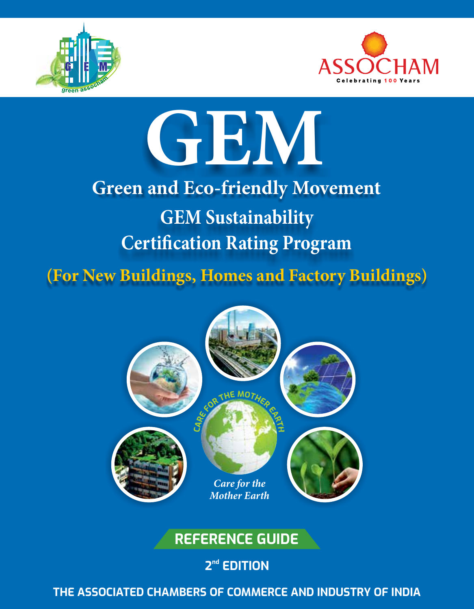



# **GEM**

## **GEM Sustainability Certification Rating Program Green and Eco-friendly Movement**

(For New Buildings, Homes and Factory Buildings)



## **REFERENCE GUIDE**

## $2<sup>nd</sup>$  **EDITION**

**THE ASSOCIATED CHAMBERS OF COMMERCE AND INDUSTRY OF INDIA**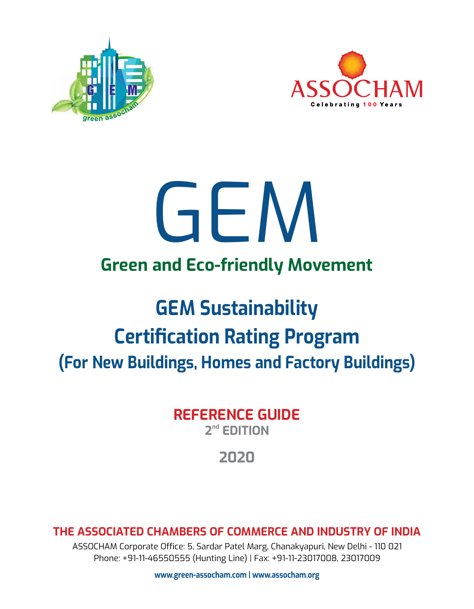



## **Green and Eco-friendly Movement** GEM

## **GEM Sustainability Certification Rating Program (For New Buildings, Homes and Factory Buildings)**

**REFERENCE GUIDE** 2<sup>nd</sup> **FDITION** 

## **2020**

**THE ASSOCIATED CHAMBERS OF COMMERCE AND INDUSTRY OF INDIA**

ASSOCHAM Corporate Office: 5, Sardar Patel Marg, Chanakyapuri, New Delhi - 110 021 Phone: +91-11-46550555 (Hunting Line) | Fax: +91-11-23017008, 23017009

**www.green-assocham.com | www.assocham.org**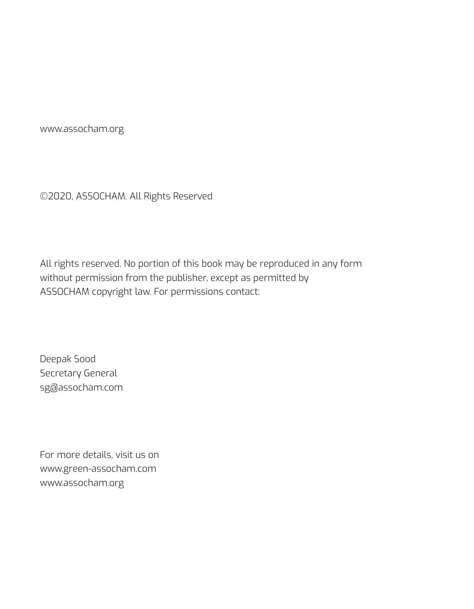www.assocham.org

©2020, ASSOCHAM. All Rights Reserved

All rights reserved. No portion of this book may be reproduced in any form without permission from the publisher, except as permitted by ASSOCHAM copyright law. For permissions contact:

Deepak Sood Secretary General sg@assocham.com

For more details, visit us on www.green-assocham.com www.assocham.org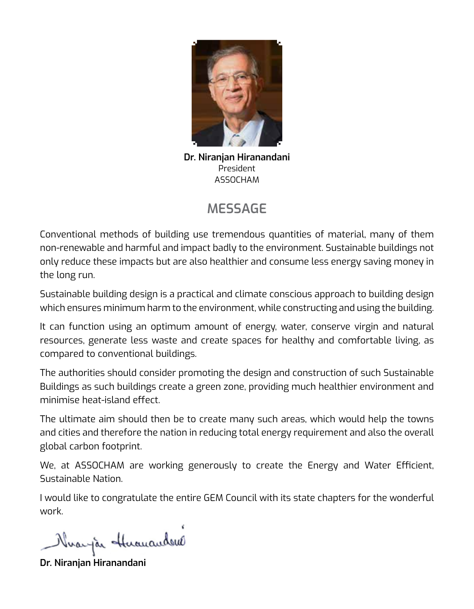

**Dr. Niranjan Hiranandani** President ASSOCHAM

## **Message**

Conventional methods of building use tremendous quantities of material, many of them non-renewable and harmful and impact badly to the environment. Sustainable buildings not only reduce these impacts but are also healthier and consume less energy saving money in the long run.

Sustainable building design is a practical and climate conscious approach to building design which ensures minimum harm to the environment, while constructing and using the building.

It can function using an optimum amount of energy, water, conserve virgin and natural resources, generate less waste and create spaces for healthy and comfortable living, as compared to conventional buildings.

The authorities should consider promoting the design and construction of such Sustainable Buildings as such buildings create a green zone, providing much healthier environment and minimise heat-island effect.

The ultimate aim should then be to create many such areas, which would help the towns and cities and therefore the nation in reducing total energy requirement and also the overall global carbon footprint.

We, at ASSOCHAM are working generously to create the Energy and Water Efficient, Sustainable Nation.

I would like to congratulate the entire GEM Council with its state chapters for the wonderful work.

Nivaryão Huanandous

**Dr. Niranjan Hiranandani**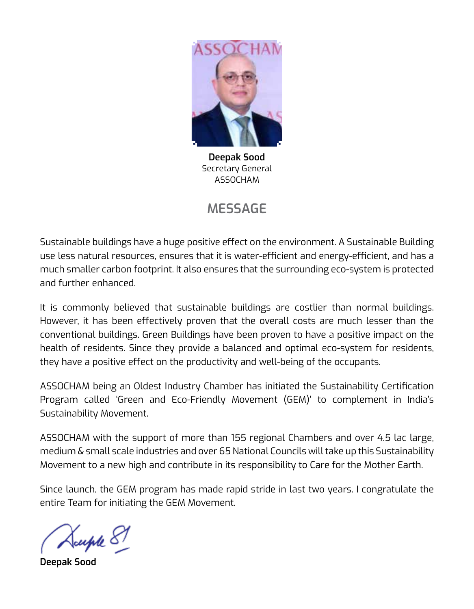

**Deepak Sood** Secretary General ASSOCHAM

## **Message**

Sustainable buildings have a huge positive effect on the environment. A Sustainable Building use less natural resources, ensures that it is water-efficient and energy-efficient, and has a much smaller carbon footprint. It also ensures that the surrounding eco-system is protected and further enhanced.

It is commonly believed that sustainable buildings are costlier than normal buildings. However, it has been effectively proven that the overall costs are much lesser than the conventional buildings. Green Buildings have been proven to have a positive impact on the health of residents. Since they provide a balanced and optimal eco-system for residents, they have a positive effect on the productivity and well-being of the occupants.

ASSOCHAM being an Oldest Industry Chamber has initiated the Sustainability Certification Program called 'Green and Eco-Friendly Movement (GEM)' to complement in India's Sustainability Movement.

ASSOCHAM with the support of more than 155 regional Chambers and over 4.5 lac large, medium & small scale industries and over 65 National Councils will take up this Sustainability Movement to a new high and contribute in its responsibility to Care for the Mother Earth.

Since launch, the GEM program has made rapid stride in last two years. I congratulate the entire Team for initiating the GEM Movement.

Suple 87

**Deepak Sood**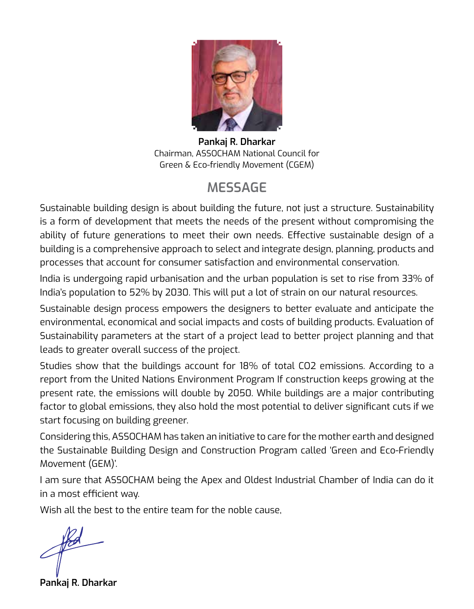

**Pankaj R. Dharkar** Chairman, ASSOCHAM National Council for Green & Eco-friendly Movement (CGEM)

## **Message**

Sustainable building design is about building the future, not just a structure. Sustainability is a form of development that meets the needs of the present without compromising the ability of future generations to meet their own needs. Effective sustainable design of a building is a comprehensive approach to select and integrate design, planning, products and processes that account for consumer satisfaction and environmental conservation.

India is undergoing rapid urbanisation and the urban population is set to rise from 33% of India's population to 52% by 2030. This will put a lot of strain on our natural resources.

Sustainable design process empowers the designers to better evaluate and anticipate the environmental, economical and social impacts and costs of building products. Evaluation of Sustainability parameters at the start of a project lead to better project planning and that leads to greater overall success of the project.

Studies show that the buildings account for 18% of total CO2 emissions. According to a report from the United Nations Environment Program If construction keeps growing at the present rate, the emissions will double by 2050. While buildings are a major contributing factor to global emissions, they also hold the most potential to deliver significant cuts if we start focusing on building greener.

Considering this, ASSOCHAM has taken an initiative to care for the mother earth and designed the Sustainable Building Design and Construction Program called 'Green and Eco-Friendly Movement (GEM)'.

I am sure that ASSOCHAM being the Apex and Oldest Industrial Chamber of India can do it in a most efficient way.

Wish all the best to the entire team for the noble cause,

**Pankaj R. Dharkar**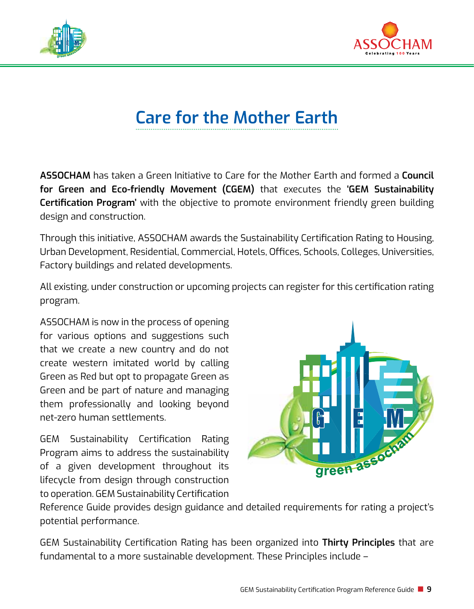



## **Care for the Mother Earth**

**ASSOCHAM** has taken a Green Initiative to Care for the Mother Earth and formed a **Council for Green and Eco-friendly Movement (CGEM)** that executes the **'GEM Sustainability Certification Program'** with the objective to promote environment friendly green building design and construction.

Through this initiative, ASSOCHAM awards the Sustainability Certification Rating to Housing, Urban Development, Residential, Commercial, Hotels, Offices, Schools, Colleges, Universities, Factory buildings and related developments.

All existing, under construction or upcoming projects can register for this certification rating program.

ASSOCHAM is now in the process of opening for various options and suggestions such that we create a new country and do not create western imitated world by calling Green as Red but opt to propagate Green as Green and be part of nature and managing them professionally and looking beyond net-zero human settlements.

GEM Sustainability Certification Rating Program aims to address the sustainability of a given development throughout its lifecycle from design through construction to operation. GEM Sustainability Certification



Reference Guide provides design guidance and detailed requirements for rating a project's potential performance.

GEM Sustainability Certification Rating has been organized into **Thirty Principles** that are fundamental to a more sustainable development. These Principles include –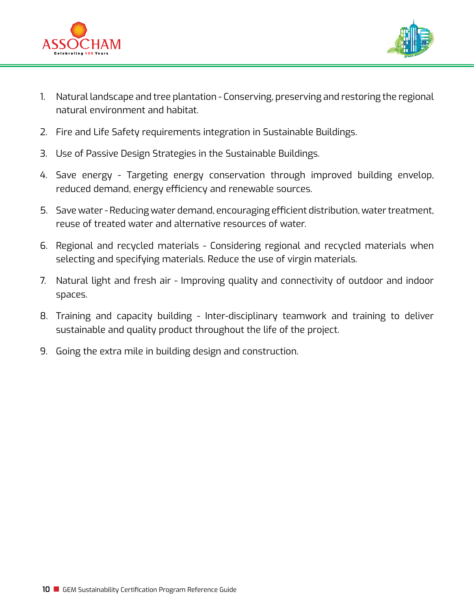



- 1. Natural landscape and tree plantation Conserving, preserving and restoring the regional natural environment and habitat.
- 2. Fire and Life Safety requirements integration in Sustainable Buildings.
- 3. Use of Passive Design Strategies in the Sustainable Buildings.
- 4. Save energy Targeting energy conservation through improved building envelop, reduced demand, energy efficiency and renewable sources.
- 5. Save water Reducing water demand, encouraging efficient distribution, water treatment, reuse of treated water and alternative resources of water.
- 6. Regional and recycled materials Considering regional and recycled materials when selecting and specifying materials. Reduce the use of virgin materials.
- 7. Natural light and fresh air Improving quality and connectivity of outdoor and indoor spaces.
- 8. Training and capacity building Inter-disciplinary teamwork and training to deliver sustainable and quality product throughout the life of the project.
- 9. Going the extra mile in building design and construction.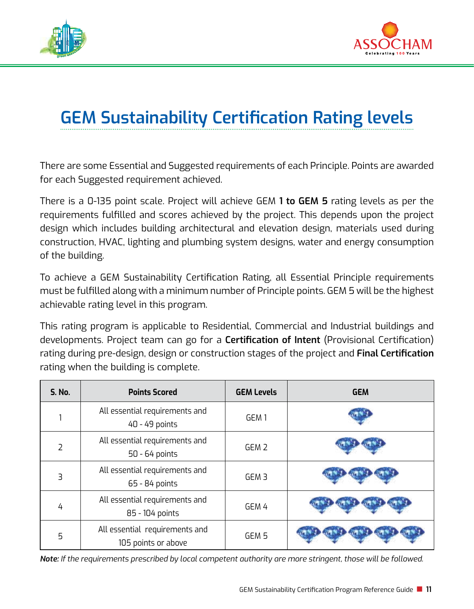



## **GEM Sustainability Certification Rating levels**

There are some Essential and Suggested requirements of each Principle. Points are awarded for each Suggested requirement achieved.

There is a 0-135 point scale. Project will achieve GEM **1 to GEM 5** rating levels as per the requirements fulfilled and scores achieved by the project. This depends upon the project design which includes building architectural and elevation design, materials used during construction, HVAC, lighting and plumbing system designs, water and energy consumption of the building.

To achieve a GEM Sustainability Certification Rating, all Essential Principle requirements must be fulfilled along with a minimum number of Principle points. GEM 5 will be the highest achievable rating level in this program.

This rating program is applicable to Residential, Commercial and Industrial buildings and developments. Project team can go for a **Certification of Intent** (Provisional Certification) rating during pre-design, design or construction stages of the project and **Final Certification** rating when the building is complete.

| <b>S. No.</b> | <b>Points Scored</b>                                  | <b>GEM Levels</b> | <b>GEM</b> |
|---------------|-------------------------------------------------------|-------------------|------------|
|               | All essential requirements and<br>40 - 49 points      | GEM 1             |            |
|               | All essential requirements and<br>50 - 64 points      | GEM <sub>2</sub>  |            |
| ₹             | All essential requirements and<br>65 - 84 points      | GEM <sub>3</sub>  |            |
| 4             | All essential requirements and<br>85 - 104 points     | GEM 4             |            |
| 5             | All essential requirements and<br>105 points or above | GEM 5             |            |

*Note: If the requirements prescribed by local competent authority are more stringent, those will be followed.*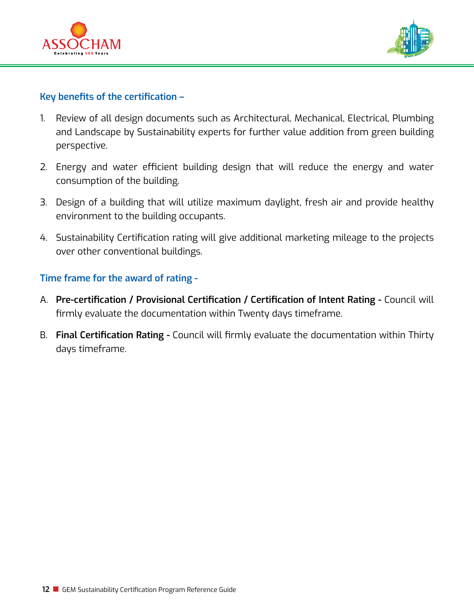



#### **Key benefits of the certification –**

- 1. Review of all design documents such as Architectural, Mechanical, Electrical, Plumbing and Landscape by Sustainability experts for further value addition from green building perspective.
- 2. Energy and water efficient building design that will reduce the energy and water consumption of the building.
- 3. Design of a building that will utilize maximum daylight, fresh air and provide healthy environment to the building occupants.
- 4. Sustainability Certification rating will give additional marketing mileage to the projects over other conventional buildings.

#### **Time frame for the award of rating -**

- A. **Pre-certification / Provisional Certification / Certification of Intent Rating -** Council will firmly evaluate the documentation within Twenty days timeframe.
- B. **Final Certification Rating** Council will firmly evaluate the documentation within Thirty days timeframe.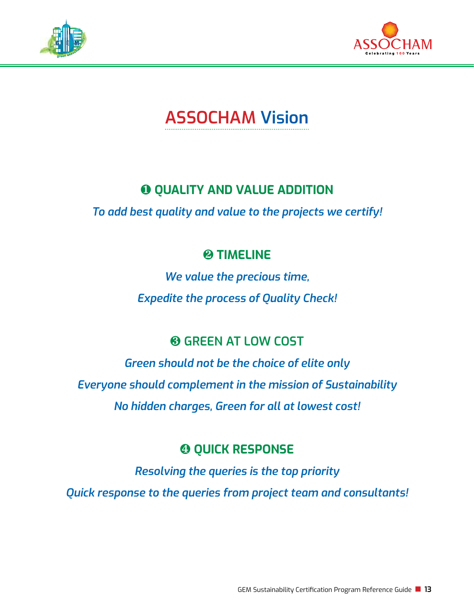



## **ASSOCHAM Vision**

## **Q QUALITY AND VALUE ADDITION**

*To add best quality and value to the projects we certify!*

#### *<u>@TIMELINE</u>*

*We value the precious time, Expedite the process of Quality Check!*

#### **Green at low cost**

*Green should not be the choice of elite only Everyone should complement in the mission of Sustainability No hidden charges, Green for all at lowest cost!*

#### **<sup>** $Q$ **</sup> QUICK RESPONSE**

*Resolving the queries is the top priority*

*Quick response to the queries from project team and consultants!*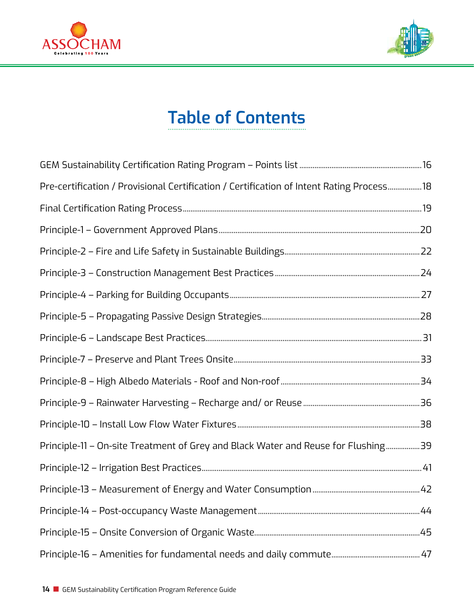



## **Table of Contents**

| Pre-certification / Provisional Certification / Certification of Intent Rating Process 18 |  |
|-------------------------------------------------------------------------------------------|--|
|                                                                                           |  |
|                                                                                           |  |
|                                                                                           |  |
|                                                                                           |  |
|                                                                                           |  |
|                                                                                           |  |
|                                                                                           |  |
|                                                                                           |  |
|                                                                                           |  |
|                                                                                           |  |
|                                                                                           |  |
| Principle-11 - On-site Treatment of Grey and Black Water and Reuse for Flushing39         |  |
|                                                                                           |  |
|                                                                                           |  |
|                                                                                           |  |
|                                                                                           |  |
|                                                                                           |  |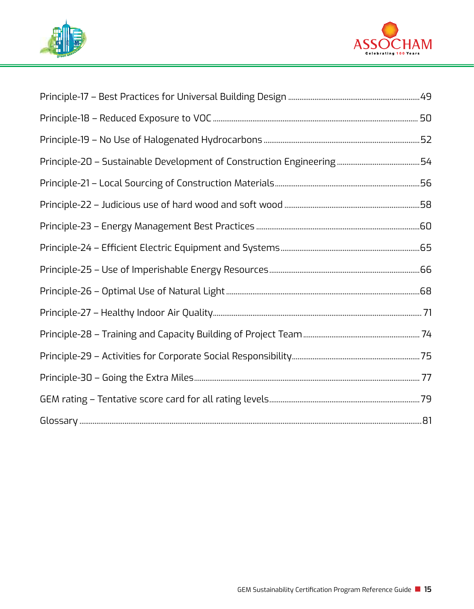

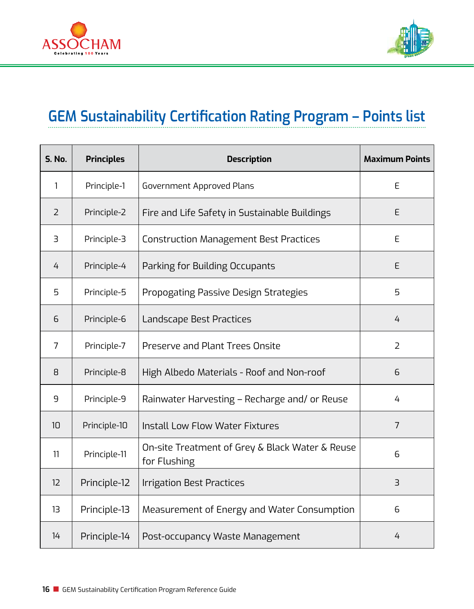



## **GEM Sustainability Certification Rating Program – Points list**

| <b>S. No.</b>  | <b>Principles</b> | <b>Description</b>                                              | <b>Maximum Points</b> |
|----------------|-------------------|-----------------------------------------------------------------|-----------------------|
| 1              | Principle-1       | Government Approved Plans                                       | E                     |
| $\overline{2}$ | Principle-2       | Fire and Life Safety in Sustainable Buildings                   | E                     |
| 3              | Principle-3       | <b>Construction Management Best Practices</b>                   | E                     |
| 4              | Principle-4       | Parking for Building Occupants                                  | E                     |
| 5              | Principle-5       | Propogating Passive Design Strategies                           | 5                     |
| 6              | Principle-6       | Landscape Best Practices                                        | 4                     |
| 7              | Principle-7       | Preserve and Plant Trees Onsite                                 | 2                     |
| 8              | Principle-8       | High Albedo Materials - Roof and Non-roof                       | 6                     |
| 9              | Principle-9       | Rainwater Harvesting - Recharge and/ or Reuse                   | 4                     |
| 10             | Principle-10      | Install Low Flow Water Fixtures                                 | $\overline{7}$        |
| 11             | Principle-11      | On-site Treatment of Grey & Black Water & Reuse<br>for Flushing | 6                     |
| 12             | Principle-12      | <b>Irrigation Best Practices</b>                                | $\exists$             |
| 13             | Principle-13      | Measurement of Energy and Water Consumption                     | 6                     |
| 14             | Principle-14      | Post-occupancy Waste Management                                 | 4                     |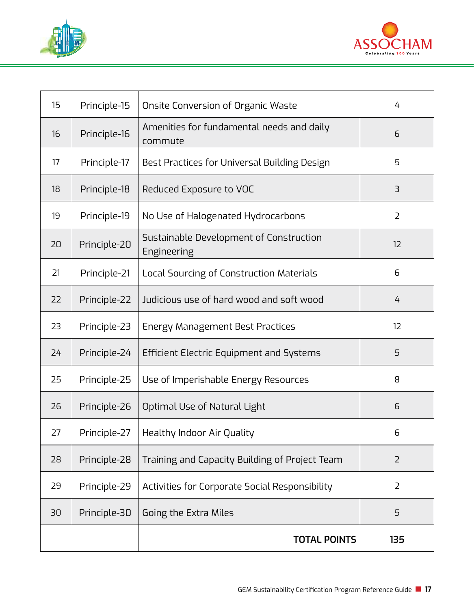



| 15 | Principle-15 | Onsite Conversion of Organic Waste                     | 4              |
|----|--------------|--------------------------------------------------------|----------------|
| 16 | Principle-16 | Amenities for fundamental needs and daily<br>commute   | 6              |
| 17 | Principle-17 | Best Practices for Universal Building Design           | 5              |
| 18 | Principle-18 | Reduced Exposure to VOC                                | 3              |
| 19 | Principle-19 | No Use of Halogenated Hydrocarbons                     | $\overline{2}$ |
| 20 | Principle-20 | Sustainable Development of Construction<br>Engineering | 12             |
| 21 | Principle-21 | Local Sourcing of Construction Materials               | 6              |
| 22 | Principle-22 | Judicious use of hard wood and soft wood               | 4              |
| 23 | Principle-23 | Energy Management Best Practices                       | 12             |
| 24 | Principle-24 | Efficient Electric Equipment and Systems               | 5              |
| 25 | Principle-25 | Use of Imperishable Energy Resources                   | 8              |
| 26 | Principle-26 | Optimal Use of Natural Light                           | 6              |
| 27 | Principle-27 | Healthy Indoor Air Quality                             | 6              |
| 28 | Principle-28 | Training and Capacity Building of Project Team         | $\overline{2}$ |
| 29 | Principle-29 | Activities for Corporate Social Responsibility         | $\overline{2}$ |
| 30 | Principle-30 | Going the Extra Miles                                  | 5              |
|    |              | <b>TOTAL POINTS</b>                                    | 135            |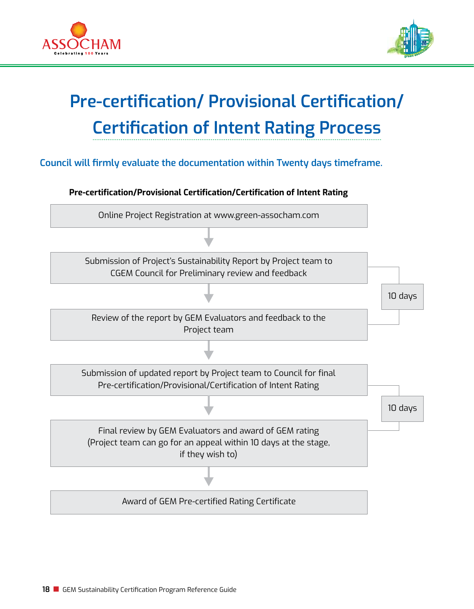



10 days

10 days

## **Pre-certification/ Provisional Certification/ Certification of Intent Rating Process**

**Council will firmly evaluate the documentation within Twenty days timeframe.** 







Review of the report by GEM Evaluators and feedback to the Project team

Submission of updated report by Project team to Council for final Pre-certification/Provisional/Certification of Intent Rating

Final review by GEM Evaluators and award of GEM rating (Project team can go for an appeal within 10 days at the stage, if they wish to)

Award of GEM Pre-certified Rating Certificate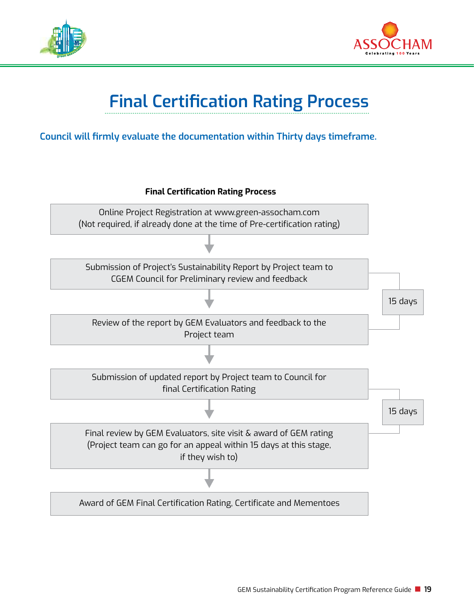



## **Final Certification Rating Process**

#### **Council will firmly evaluate the documentation within Thirty days timeframe.**

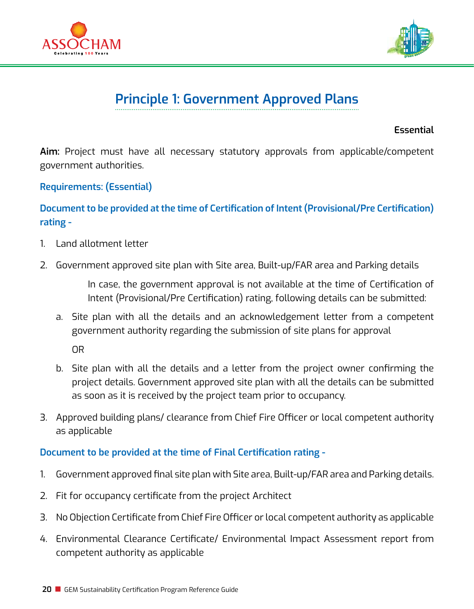



## **Principle 1: Government Approved Plans**

**Essential**

**Aim:** Project must have all necessary statutory approvals from applicable/competent government authorities.

#### **Requirements: (Essential)**

#### **Document to be provided at the time of Certification of Intent (Provisional/Pre Certification) rating -**

- 1. Land allotment letter
- 2. Government approved site plan with Site area, Built-up/FAR area and Parking details

In case, the government approval is not available at the time of Certification of Intent (Provisional/Pre Certification) rating, following details can be submitted:

a. Site plan with all the details and an acknowledgement letter from a competent government authority regarding the submission of site plans for approval

OR

- b. Site plan with all the details and a letter from the project owner confirming the project details. Government approved site plan with all the details can be submitted as soon as it is received by the project team prior to occupancy.
- 3. Approved building plans/ clearance from Chief Fire Officer or local competent authority as applicable

#### **Document to be provided at the time of Final Certification rating -**

- 1. Government approved final site plan with Site area, Built-up/FAR area and Parking details.
- 2. Fit for occupancy certificate from the project Architect
- 3. No Objection Certificate from Chief Fire Officer or local competent authority as applicable
- 4. Environmental Clearance Certificate/ Environmental Impact Assessment report from competent authority as applicable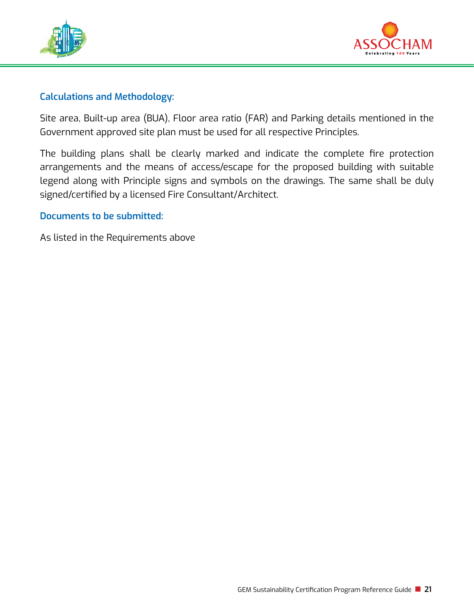



#### **Calculations and Methodology:**

Site area, Built-up area (BUA), Floor area ratio (FAR) and Parking details mentioned in the Government approved site plan must be used for all respective Principles.

The building plans shall be clearly marked and indicate the complete fire protection arrangements and the means of access/escape for the proposed building with suitable legend along with Principle signs and symbols on the drawings. The same shall be duly signed/certified by a licensed Fire Consultant/Architect.

#### **Documents to be submitted:**

As listed in the Requirements above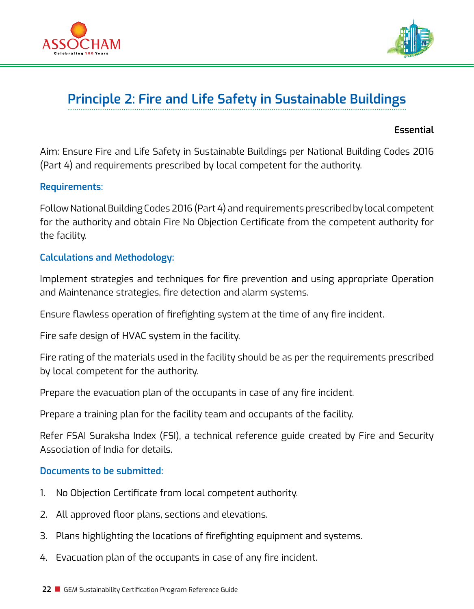



## **Principle 2: Fire and Life Safety in Sustainable Buildings**

#### **Essential**

Aim: Ensure Fire and Life Safety in Sustainable Buildings per National Building Codes 2016 (Part 4) and requirements prescribed by local competent for the authority.

#### **Requirements:**

Follow National Building Codes 2016 (Part 4) and requirements prescribed by local competent for the authority and obtain Fire No Objection Certificate from the competent authority for the facility.

#### **Calculations and Methodology:**

Implement strategies and techniques for fire prevention and using appropriate Operation and Maintenance strategies, fire detection and alarm systems.

Ensure flawless operation of firefighting system at the time of any fire incident.

Fire safe design of HVAC system in the facility.

Fire rating of the materials used in the facility should be as per the requirements prescribed by local competent for the authority.

Prepare the evacuation plan of the occupants in case of any fire incident.

Prepare a training plan for the facility team and occupants of the facility.

Refer FSAI Suraksha Index (FSI), a technical reference guide created by Fire and Security Association of India for details.

#### **Documents to be submitted:**

- 1. No Objection Certificate from local competent authority.
- 2. All approved floor plans, sections and elevations.
- 3. Plans highlighting the locations of firefighting equipment and systems.
- 4. Evacuation plan of the occupants in case of any fire incident.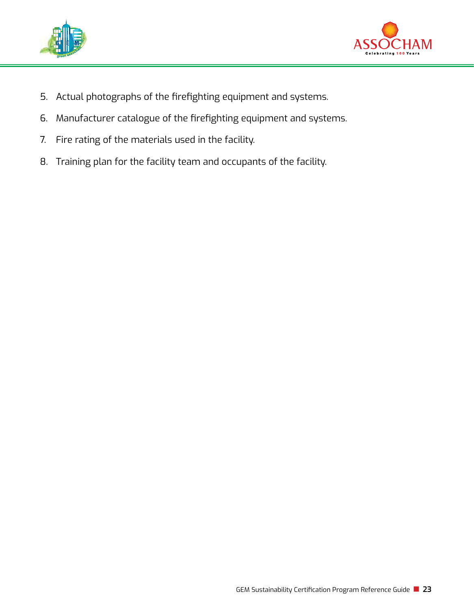



- 5. Actual photographs of the firefighting equipment and systems.
- 6. Manufacturer catalogue of the firefighting equipment and systems.
- 7. Fire rating of the materials used in the facility.
- 8. Training plan for the facility team and occupants of the facility.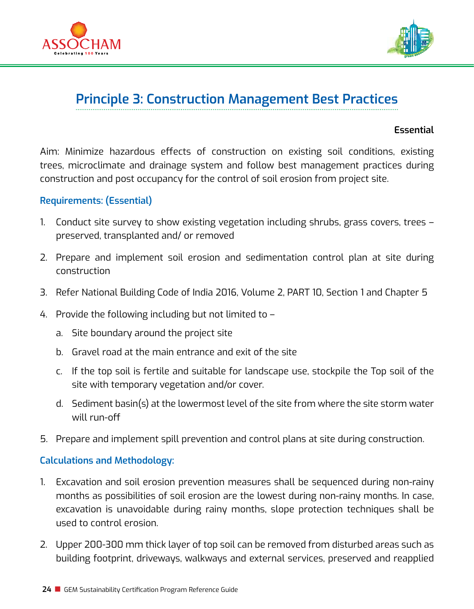



## **Principle 3: Construction Management Best Practices**

#### **Essential**

Aim: Minimize hazardous effects of construction on existing soil conditions, existing trees, microclimate and drainage system and follow best management practices during construction and post occupancy for the control of soil erosion from project site.

#### **Requirements: (Essential)**

- 1. Conduct site survey to show existing vegetation including shrubs, grass covers, trees preserved, transplanted and/ or removed
- 2. Prepare and implement soil erosion and sedimentation control plan at site during construction
- 3. Refer National Building Code of India 2016, Volume 2, PART 10, Section 1 and Chapter 5
- 4. Provide the following including but not limited to
	- a. Site boundary around the project site
	- b. Gravel road at the main entrance and exit of the site
	- c. If the top soil is fertile and suitable for landscape use, stockpile the Top soil of the site with temporary vegetation and/or cover.
	- d. Sediment basin(s) at the lowermost level of the site from where the site storm water will run-off
- 5. Prepare and implement spill prevention and control plans at site during construction.

#### **Calculations and Methodology:**

- 1. Excavation and soil erosion prevention measures shall be sequenced during non-rainy months as possibilities of soil erosion are the lowest during non-rainy months. In case, excavation is unavoidable during rainy months, slope protection techniques shall be used to control erosion.
- 2. Upper 200-300 mm thick layer of top soil can be removed from disturbed areas such as building footprint, driveways, walkways and external services, preserved and reapplied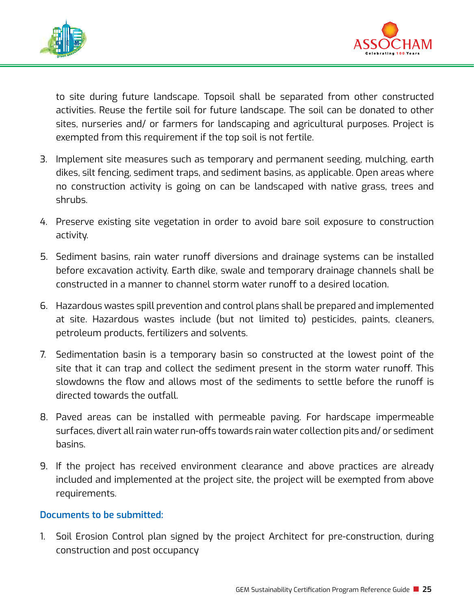



to site during future landscape. Topsoil shall be separated from other constructed activities. Reuse the fertile soil for future landscape. The soil can be donated to other sites, nurseries and/ or farmers for landscaping and agricultural purposes. Project is exempted from this requirement if the top soil is not fertile.

- 3. Implement site measures such as temporary and permanent seeding, mulching, earth dikes, silt fencing, sediment traps, and sediment basins, as applicable. Open areas where no construction activity is going on can be landscaped with native grass, trees and shrubs.
- 4. Preserve existing site vegetation in order to avoid bare soil exposure to construction activity.
- 5. Sediment basins, rain water runoff diversions and drainage systems can be installed before excavation activity. Earth dike, swale and temporary drainage channels shall be constructed in a manner to channel storm water runoff to a desired location.
- 6. Hazardous wastes spill prevention and control plans shall be prepared and implemented at site. Hazardous wastes include (but not limited to) pesticides, paints, cleaners, petroleum products, fertilizers and solvents.
- 7. Sedimentation basin is a temporary basin so constructed at the lowest point of the site that it can trap and collect the sediment present in the storm water runoff. This slowdowns the flow and allows most of the sediments to settle before the runoff is directed towards the outfall.
- 8. Paved areas can be installed with permeable paving. For hardscape impermeable surfaces, divert all rain water run-offs towards rain water collection pits and/ or sediment basins.
- 9. If the project has received environment clearance and above practices are already included and implemented at the project site, the project will be exempted from above requirements.

#### **Documents to be submitted:**

1. Soil Erosion Control plan signed by the project Architect for pre-construction, during construction and post occupancy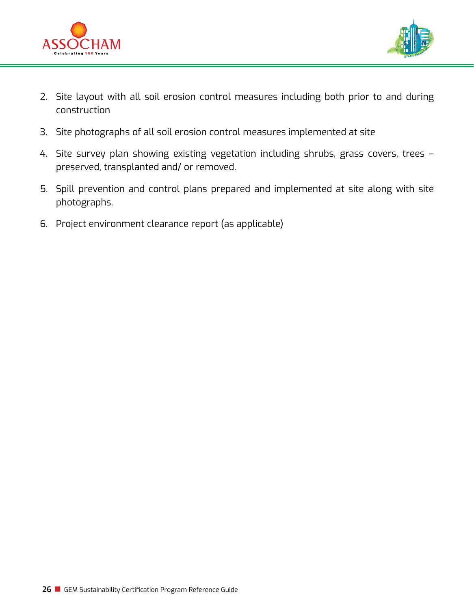



- 2. Site layout with all soil erosion control measures including both prior to and during construction
- 3. Site photographs of all soil erosion control measures implemented at site
- 4. Site survey plan showing existing vegetation including shrubs, grass covers, trees preserved, transplanted and/ or removed.
- 5. Spill prevention and control plans prepared and implemented at site along with site photographs.
- 6. Project environment clearance report (as applicable)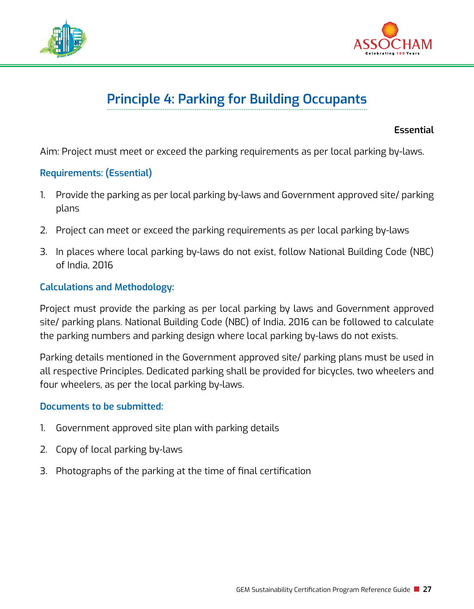



## **Principle 4: Parking for Building Occupants**

**Essential**

Aim: Project must meet or exceed the parking requirements as per local parking by-laws.

#### **Requirements: (Essential)**

- 1. Provide the parking as per local parking by-laws and Government approved site/ parking plans
- 2. Project can meet or exceed the parking requirements as per local parking by-laws
- 3. In places where local parking by-laws do not exist, follow National Building Code (NBC) of India, 2016

#### **Calculations and Methodology:**

Project must provide the parking as per local parking by laws and Government approved site/ parking plans. National Building Code (NBC) of India, 2016 can be followed to calculate the parking numbers and parking design where local parking by-laws do not exists.

Parking details mentioned in the Government approved site/ parking plans must be used in all respective Principles. Dedicated parking shall be provided for bicycles, two wheelers and four wheelers, as per the local parking by-laws.

#### **Documents to be submitted:**

- 1. Government approved site plan with parking details
- 2. Copy of local parking by-laws
- 3. Photographs of the parking at the time of final certification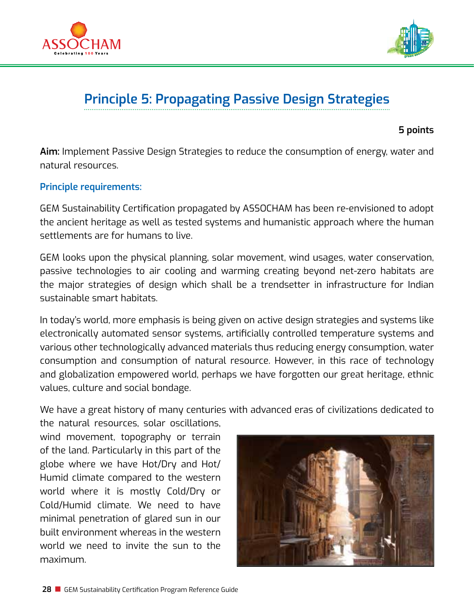



## **Principle 5: Propagating Passive Design Strategies**

**5 points**

**Aim:** Implement Passive Design Strategies to reduce the consumption of energy, water and natural resources.

#### **Principle requirements:**

GEM Sustainability Certification propagated by ASSOCHAM has been re-envisioned to adopt the ancient heritage as well as tested systems and humanistic approach where the human settlements are for humans to live.

GEM looks upon the physical planning, solar movement, wind usages, water conservation, passive technologies to air cooling and warming creating beyond net-zero habitats are the major strategies of design which shall be a trendsetter in infrastructure for Indian sustainable smart habitats.

In today's world, more emphasis is being given on active design strategies and systems like electronically automated sensor systems, artificially controlled temperature systems and various other technologically advanced materials thus reducing energy consumption, water consumption and consumption of natural resource. However, in this race of technology and globalization empowered world, perhaps we have forgotten our great heritage, ethnic values, culture and social bondage.

We have a great history of many centuries with advanced eras of civilizations dedicated to the natural resources, solar oscillations,

wind movement, topography or terrain of the land. Particularly in this part of the globe where we have Hot/Dry and Hot/ Humid climate compared to the western world where it is mostly Cold/Dry or Cold/Humid climate. We need to have minimal penetration of glared sun in our built environment whereas in the western world we need to invite the sun to the maximum.

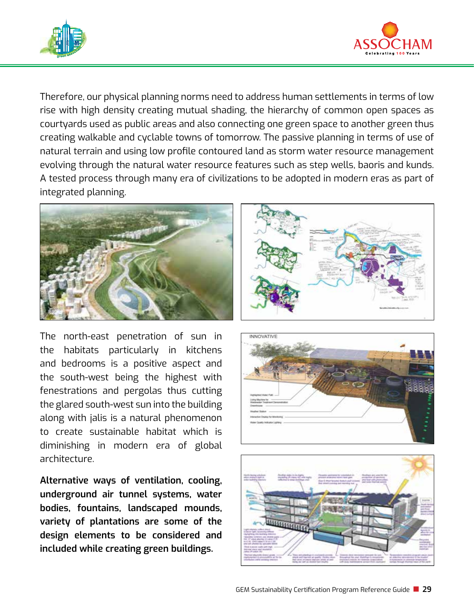



Therefore, our physical planning norms need to address human settlements in terms of low rise with high density creating mutual shading, the hierarchy of common open spaces as courtyards used as public areas and also connecting one green space to another green thus creating walkable and cyclable towns of tomorrow. The passive planning in terms of use of natural terrain and using low profile contoured land as storm water resource management evolving through the natural water resource features such as step wells, baoris and kunds. A tested process through many era of civilizations to be adopted in modern eras as part of integrated planning.



The north-east penetration of sun in the habitats particularly in kitchens and bedrooms is a positive aspect and the south-west being the highest with fenestrations and pergolas thus cutting the glared south-west sun into the building along with jalis is a natural phenomenon to create sustainable habitat which is diminishing in modern era of global architecture.

**Alternative ways of ventilation, cooling, underground air tunnel systems, water bodies, fountains, landscaped mounds, variety of plantations are some of the design elements to be considered and included while creating green buildings.** 





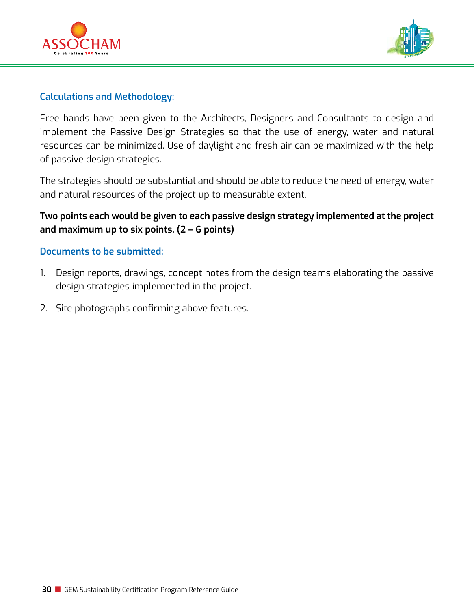



#### **Calculations and Methodology:**

Free hands have been given to the Architects, Designers and Consultants to design and implement the Passive Design Strategies so that the use of energy, water and natural resources can be minimized. Use of daylight and fresh air can be maximized with the help of passive design strategies.

The strategies should be substantial and should be able to reduce the need of energy, water and natural resources of the project up to measurable extent.

#### **Two points each would be given to each passive design strategy implemented at the project and maximum up to six points. (2 – 6 points)**

#### **Documents to be submitted:**

- 1. Design reports, drawings, concept notes from the design teams elaborating the passive design strategies implemented in the project.
- 2. Site photographs confirming above features.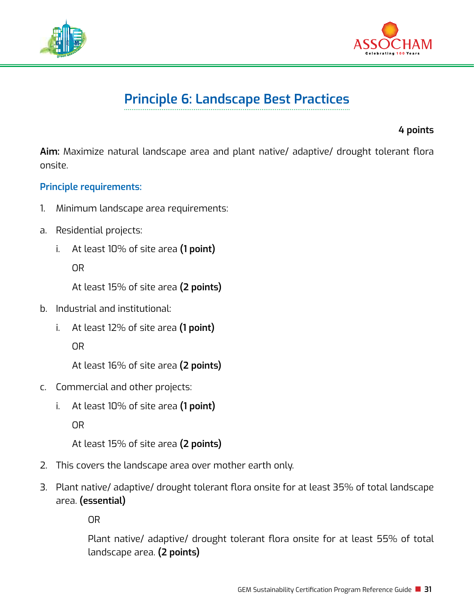



## **Principle 6: Landscape Best Practices**

**4 points**

**Aim:** Maximize natural landscape area and plant native/ adaptive/ drought tolerant flora onsite.

#### **Principle requirements:**

- 1. Minimum landscape area requirements:
- a. Residential projects:
	- i. At least 10% of site area **(1 point)**

OR

At least 15% of site area **(2 points)**

- b. Industrial and institutional:
	- i. At least 12% of site area **(1 point)**

OR

At least 16% of site area **(2 points)**

- c. Commercial and other projects:
	- i. At least 10% of site area **(1 point)**

OR

At least 15% of site area **(2 points)**

- 2. This covers the landscape area over mother earth only.
- 3. Plant native/ adaptive/ drought tolerant flora onsite for at least 35% of total landscape area. **(essential)**

OR

Plant native/ adaptive/ drought tolerant flora onsite for at least 55% of total landscape area. **(2 points)**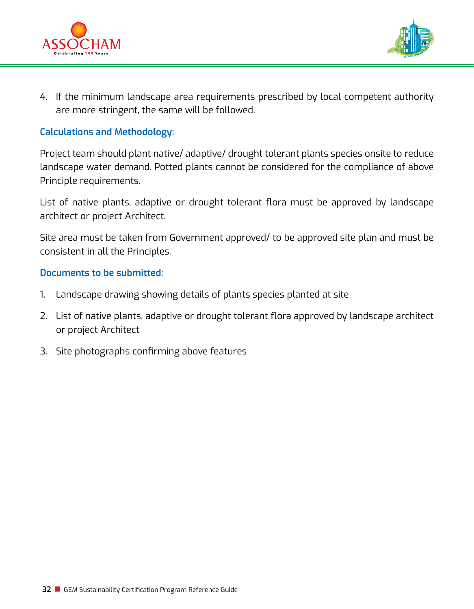



4. If the minimum landscape area requirements prescribed by local competent authority are more stringent, the same will be followed.

#### **Calculations and Methodology:**

Project team should plant native/ adaptive/ drought tolerant plants species onsite to reduce landscape water demand. Potted plants cannot be considered for the compliance of above Principle requirements.

List of native plants, adaptive or drought tolerant flora must be approved by landscape architect or project Architect.

Site area must be taken from Government approved/ to be approved site plan and must be consistent in all the Principles.

#### **Documents to be submitted:**

- 1. Landscape drawing showing details of plants species planted at site
- 2. List of native plants, adaptive or drought tolerant flora approved by landscape architect or project Architect
- 3. Site photographs confirming above features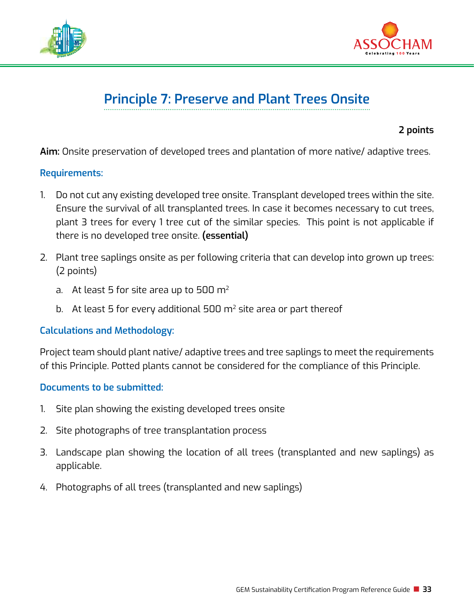



## **Principle 7: Preserve and Plant Trees Onsite**

**2 points**

**Aim:** Onsite preservation of developed trees and plantation of more native/ adaptive trees.

#### **Requirements:**

- 1. Do not cut any existing developed tree onsite. Transplant developed trees within the site. Ensure the survival of all transplanted trees. In case it becomes necessary to cut trees, plant 3 trees for every 1 tree cut of the similar species. This point is not applicable if there is no developed tree onsite. **(essential)**
- 2. Plant tree saplings onsite as per following criteria that can develop into grown up trees: (2 points)
	- a. At least 5 for site area up to 500  $m<sup>2</sup>$
	- b. At least 5 for every additional 500  $m<sup>2</sup>$  site area or part thereof

#### **Calculations and Methodology:**

Project team should plant native/ adaptive trees and tree saplings to meet the requirements of this Principle. Potted plants cannot be considered for the compliance of this Principle.

#### **Documents to be submitted:**

- 1. Site plan showing the existing developed trees onsite
- 2. Site photographs of tree transplantation process
- 3. Landscape plan showing the location of all trees (transplanted and new saplings) as applicable.
- 4. Photographs of all trees (transplanted and new saplings)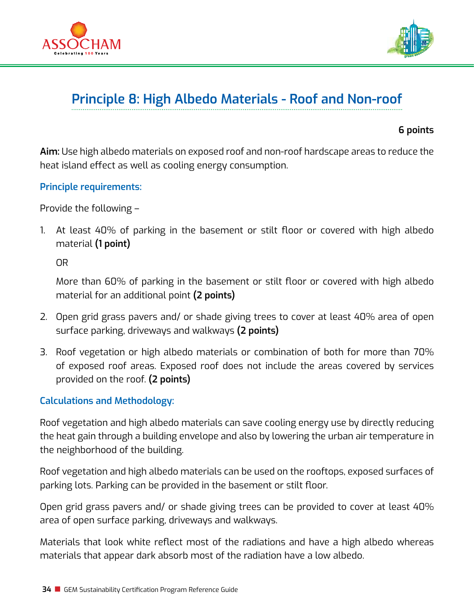



## **Principle 8: High Albedo Materials - Roof and Non-roof**

**6 points**

**Aim:** Use high albedo materials on exposed roof and non-roof hardscape areas to reduce the heat island effect as well as cooling energy consumption.

**Principle requirements:** 

Provide the following –

1. At least 40% of parking in the basement or stilt floor or covered with high albedo material **(1 point)**

OR

More than 60% of parking in the basement or stilt floor or covered with high albedo material for an additional point **(2 points)**

- 2. Open grid grass pavers and/ or shade giving trees to cover at least 40% area of open surface parking, driveways and walkways **(2 points)**
- 3. Roof vegetation or high albedo materials or combination of both for more than 70% of exposed roof areas. Exposed roof does not include the areas covered by services provided on the roof. **(2 points)**

#### **Calculations and Methodology:**

Roof vegetation and high albedo materials can save cooling energy use by directly reducing the heat gain through a building envelope and also by lowering the urban air temperature in the neighborhood of the building.

Roof vegetation and high albedo materials can be used on the rooftops, exposed surfaces of parking lots. Parking can be provided in the basement or stilt floor.

Open grid grass pavers and/ or shade giving trees can be provided to cover at least 40% area of open surface parking, driveways and walkways.

Materials that look white reflect most of the radiations and have a high albedo whereas materials that appear dark absorb most of the radiation have a low albedo.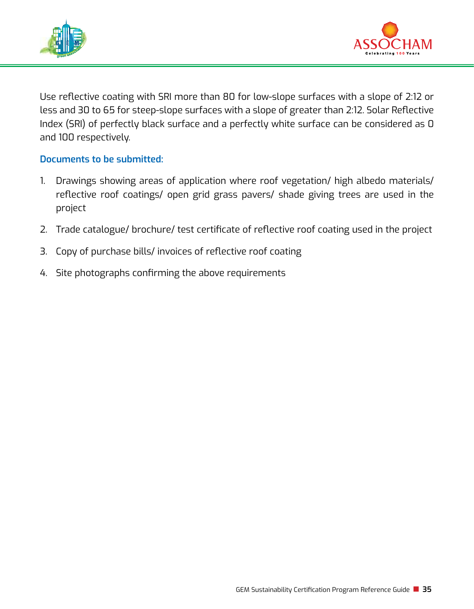



Use reflective coating with SRI more than 80 for low-slope surfaces with a slope of 2:12 or less and 30 to 65 for steep-slope surfaces with a slope of greater than 2:12. Solar Reflective Index (SRI) of perfectly black surface and a perfectly white surface can be considered as 0 and 100 respectively.

- 1. Drawings showing areas of application where roof vegetation/ high albedo materials/ reflective roof coatings/ open grid grass pavers/ shade giving trees are used in the project
- 2. Trade catalogue/ brochure/ test certificate of reflective roof coating used in the project
- 3. Copy of purchase bills/ invoices of reflective roof coating
- 4. Site photographs confirming the above requirements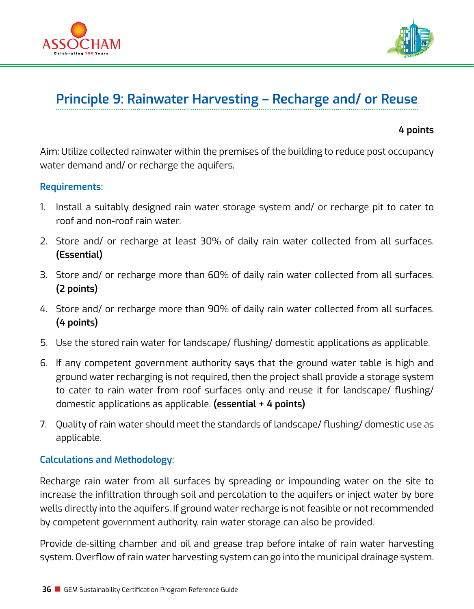



# **Principle 9: Rainwater Harvesting – Recharge and/ or Reuse**

**4 points**

Aim: Utilize collected rainwater within the premises of the building to reduce post occupancy water demand and/ or recharge the aquifers.

#### **Requirements:**

- 1. Install a suitably designed rain water storage system and/ or recharge pit to cater to roof and non-roof rain water.
- 2. Store and/ or recharge at least 30% of daily rain water collected from all surfaces. **(Essential)**
- 3. Store and/ or recharge more than 60% of daily rain water collected from all surfaces. **(2 points)**
- 4. Store and/ or recharge more than 90% of daily rain water collected from all surfaces. **(4 points)**
- 5. Use the stored rain water for landscape/ flushing/ domestic applications as applicable.
- 6. If any competent government authority says that the ground water table is high and ground water recharging is not required, then the project shall provide a storage system to cater to rain water from roof surfaces only and reuse it for landscape/ flushing/ domestic applications as applicable. **(essential + 4 points)**
- 7. Quality of rain water should meet the standards of landscape/ flushing/ domestic use as applicable.

## **Calculations and Methodology:**

Recharge rain water from all surfaces by spreading or impounding water on the site to increase the infiltration through soil and percolation to the aquifers or inject water by bore wells directly into the aquifers. If ground water recharge is not feasible or not recommended by competent government authority, rain water storage can also be provided.

Provide de-silting chamber and oil and grease trap before intake of rain water harvesting system. Overflow of rain water harvesting system can go into the municipal drainage system.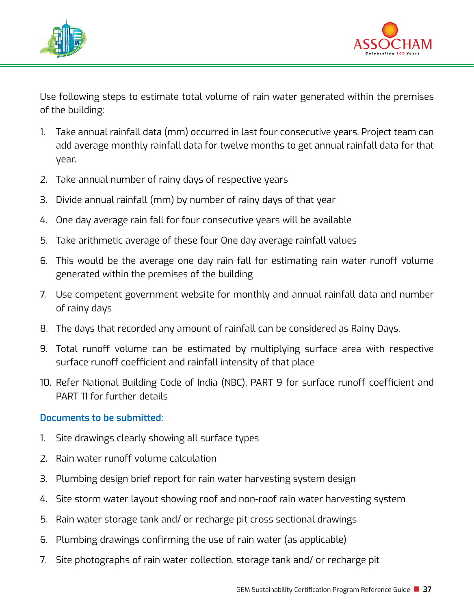



Use following steps to estimate total volume of rain water generated within the premises of the building:

- 1. Take annual rainfall data (mm) occurred in last four consecutive years. Project team can add average monthly rainfall data for twelve months to get annual rainfall data for that year.
- 2. Take annual number of rainy days of respective years
- 3. Divide annual rainfall (mm) by number of rainy days of that year
- 4. One day average rain fall for four consecutive years will be available
- 5. Take arithmetic average of these four One day average rainfall values
- 6. This would be the average one day rain fall for estimating rain water runoff volume generated within the premises of the building
- 7. Use competent government website for monthly and annual rainfall data and number of rainy days
- 8. The days that recorded any amount of rainfall can be considered as Rainy Days.
- 9. Total runoff volume can be estimated by multiplying surface area with respective surface runoff coefficient and rainfall intensity of that place
- 10. Refer National Building Code of India (NBC), PART 9 for surface runoff coefficient and PART 11 for further details

- 1. Site drawings clearly showing all surface types
- 2. Rain water runoff volume calculation
- 3. Plumbing design brief report for rain water harvesting system design
- 4. Site storm water layout showing roof and non-roof rain water harvesting system
- 5. Rain water storage tank and/ or recharge pit cross sectional drawings
- 6. Plumbing drawings confirming the use of rain water (as applicable)
- 7. Site photographs of rain water collection, storage tank and/ or recharge pit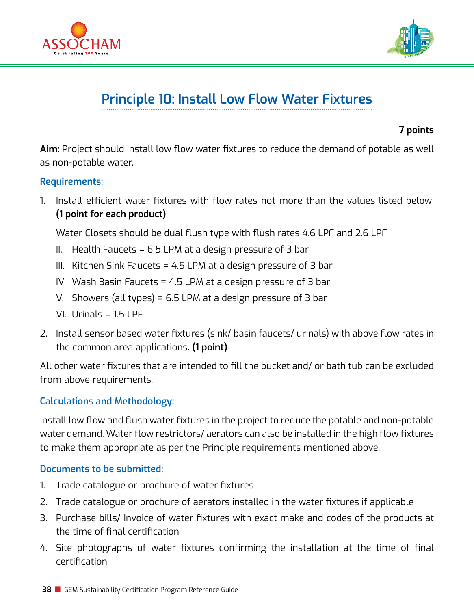



## **Principle 10: Install Low Flow Water Fixtures**

**7 points**

**Aim:** Project should install low flow water fixtures to reduce the demand of potable as well as non-potable water.

#### **Requirements:**

- 1. Install efficient water fixtures with flow rates not more than the values listed below: **(1 point for each product)**
- I. Water Closets should be dual flush type with flush rates 4.6 LPF and 2.6 LPF
	- II. Health Faucets = 6.5 LPM at a design pressure of 3 bar
	- III. Kitchen Sink Faucets = 4.5 LPM at a design pressure of 3 bar
	- IV. Wash Basin Faucets = 4.5 LPM at a design pressure of 3 bar
	- V. Showers (all types) = 6.5 LPM at a design pressure of 3 bar
	- VI. Urinals = 1.5 LPF
- 2. Install sensor based water fixtures (sink/ basin faucets/ urinals) with above flow rates in the common area applications**. (1 point)**

All other water fixtures that are intended to fill the bucket and/ or bath tub can be excluded from above requirements.

## **Calculations and Methodology:**

Install low flow and flush water fixtures in the project to reduce the potable and non-potable water demand. Water flow restrictors/ aerators can also be installed in the high flow fixtures to make them appropriate as per the Principle requirements mentioned above.

- 1. Trade catalogue or brochure of water fixtures
- 2. Trade catalogue or brochure of aerators installed in the water fixtures if applicable
- 3. Purchase bills/ Invoice of water fixtures with exact make and codes of the products at the time of final certification
- 4. Site photographs of water fixtures confirming the installation at the time of final certification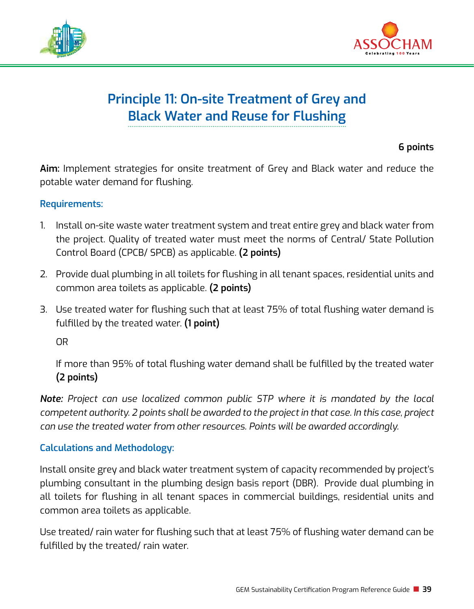



## **Principle 11: On-site Treatment of Grey and Black Water and Reuse for Flushing**

## **6 points**

**Aim:** Implement strategies for onsite treatment of Grey and Black water and reduce the potable water demand for flushing.

#### **Requirements:**

- 1. Install on-site waste water treatment system and treat entire grey and black water from the project. Quality of treated water must meet the norms of Central/ State Pollution Control Board (CPCB/ SPCB) as applicable. **(2 points)**
- 2. Provide dual plumbing in all toilets for flushing in all tenant spaces, residential units and common area toilets as applicable. **(2 points)**
- 3. Use treated water for flushing such that at least 75% of total flushing water demand is fulfilled by the treated water. **(1 point)**

OR

If more than 95% of total flushing water demand shall be fulfilled by the treated water **(2 points)**

*Note: Project can use localized common public STP where it is mandated by the local competent authority. 2 points shall be awarded to the project in that case. In this case, project can use the treated water from other resources. Points will be awarded accordingly.* 

## **Calculations and Methodology:**

Install onsite grey and black water treatment system of capacity recommended by project's plumbing consultant in the plumbing design basis report (DBR). Provide dual plumbing in all toilets for flushing in all tenant spaces in commercial buildings, residential units and common area toilets as applicable.

Use treated/ rain water for flushing such that at least 75% of flushing water demand can be fulfilled by the treated/ rain water.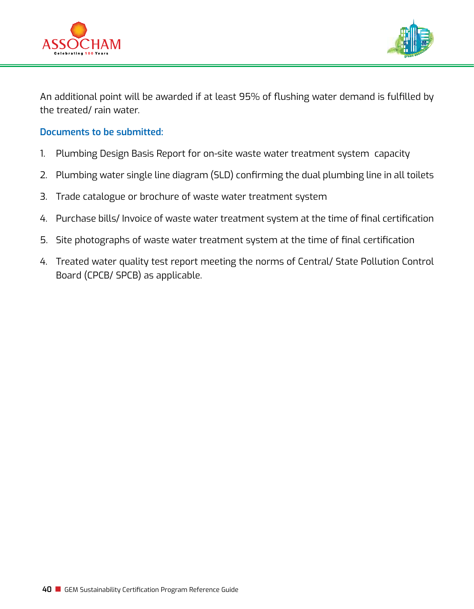



An additional point will be awarded if at least 95% of flushing water demand is fulfilled by the treated/ rain water.

- 1. Plumbing Design Basis Report for on-site waste water treatment system capacity
- 2. Plumbing water single line diagram (SLD) confirming the dual plumbing line in all toilets
- 3. Trade catalogue or brochure of waste water treatment system
- 4. Purchase bills/ Invoice of waste water treatment system at the time of final certification
- 5. Site photographs of waste water treatment system at the time of final certification
- 4. Treated water quality test report meeting the norms of Central/ State Pollution Control Board (CPCB/ SPCB) as applicable.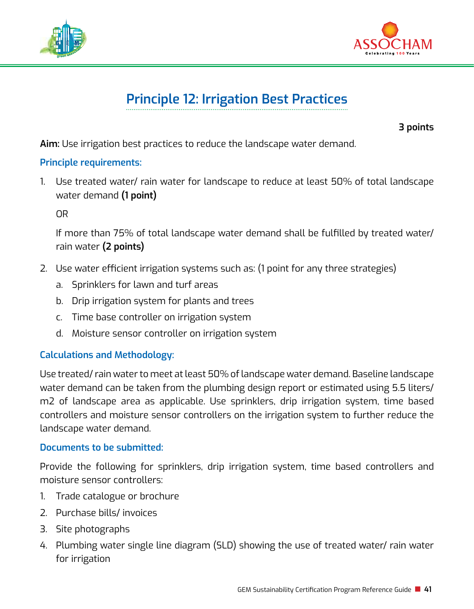



# **Principle 12: Irrigation Best Practices**

**3 points**

**Aim:** Use irrigation best practices to reduce the landscape water demand.

## **Principle requirements:**

1. Use treated water/ rain water for landscape to reduce at least 50% of total landscape water demand **(1 point)**

OR

If more than 75% of total landscape water demand shall be fulfilled by treated water/ rain water **(2 points)**

- 2. Use water efficient irrigation systems such as: (1 point for any three strategies)
	- a. Sprinklers for lawn and turf areas
	- b. Drip irrigation system for plants and trees
	- c. Time base controller on irrigation system
	- d. Moisture sensor controller on irrigation system

## **Calculations and Methodology:**

Use treated/ rain water to meet at least 50% of landscape water demand. Baseline landscape water demand can be taken from the plumbing design report or estimated using 5.5 liters/ m2 of landscape area as applicable. Use sprinklers, drip irrigation system, time based controllers and moisture sensor controllers on the irrigation system to further reduce the landscape water demand.

## **Documents to be submitted:**

Provide the following for sprinklers, drip irrigation system, time based controllers and moisture sensor controllers:

- 1. Trade catalogue or brochure
- 2. Purchase bills/ invoices
- 3. Site photographs
- 4. Plumbing water single line diagram (SLD) showing the use of treated water/ rain water for irrigation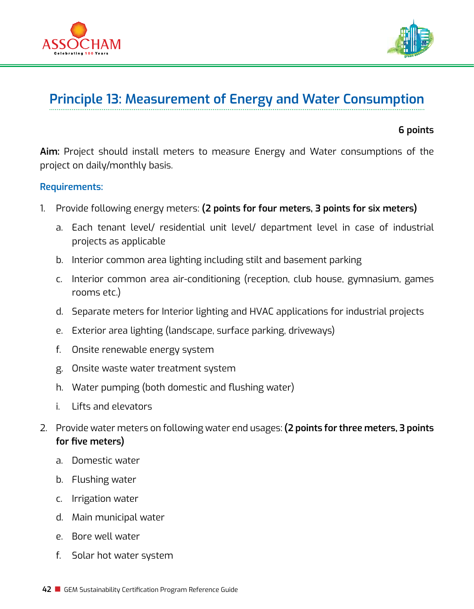



## **Principle 13: Measurement of Energy and Water Consumption**

#### **6 points**

**Aim:** Project should install meters to measure Energy and Water consumptions of the project on daily/monthly basis.

#### **Requirements:**

- 1. Provide following energy meters: **(2 points for four meters, 3 points for six meters)**
	- a. Each tenant level/ residential unit level/ department level in case of industrial projects as applicable
	- b. Interior common area lighting including stilt and basement parking
	- c. Interior common area air-conditioning (reception, club house, gymnasium, games rooms etc.)
	- d. Separate meters for Interior lighting and HVAC applications for industrial projects
	- e. Exterior area lighting (landscape, surface parking, driveways)
	- f. Onsite renewable energy system
	- g. Onsite waste water treatment system
	- h. Water pumping (both domestic and flushing water)
	- i. Lifts and elevators
- 2. Provide water meters on following water end usages: **(2 points for three meters, 3 points for five meters)**
	- a. Domestic water
	- b. Flushing water
	- c. Irrigation water
	- d. Main municipal water
	- e. Bore well water
	- f. Solar hot water system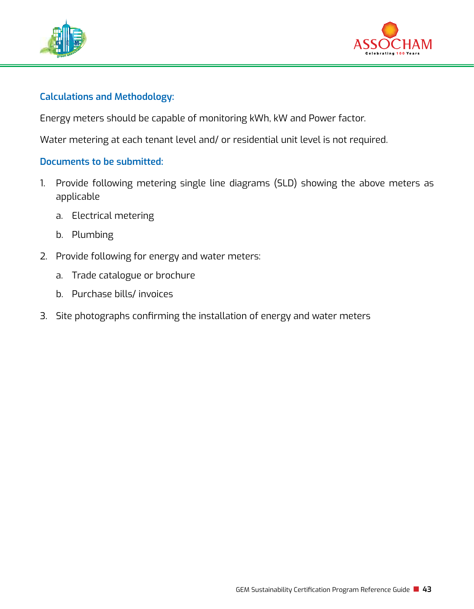



## **Calculations and Methodology:**

Energy meters should be capable of monitoring kWh, kW and Power factor.

Water metering at each tenant level and/ or residential unit level is not required.

- 1. Provide following metering single line diagrams (SLD) showing the above meters as applicable
	- a. Electrical metering
	- b. Plumbing
- 2. Provide following for energy and water meters:
	- a. Trade catalogue or brochure
	- b. Purchase bills/ invoices
- 3. Site photographs confirming the installation of energy and water meters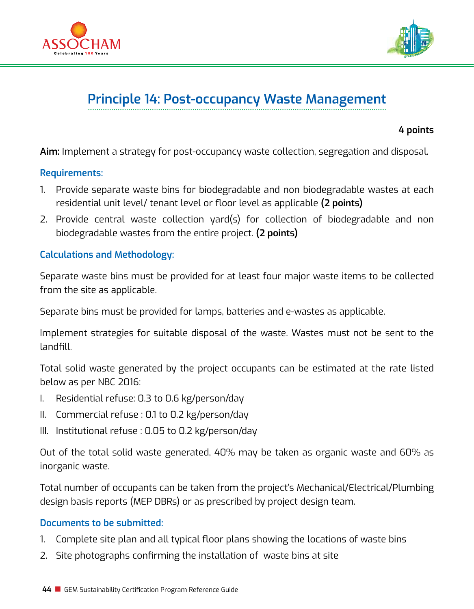



# **Principle 14: Post-occupancy Waste Management**

#### **4 points**

**Aim:** Implement a strategy for post-occupancy waste collection, segregation and disposal.

#### **Requirements:**

- 1. Provide separate waste bins for biodegradable and non biodegradable wastes at each residential unit level/ tenant level or floor level as applicable **(2 points)**
- 2. Provide central waste collection yard(s) for collection of biodegradable and non biodegradable wastes from the entire project. **(2 points)**

## **Calculations and Methodology:**

Separate waste bins must be provided for at least four major waste items to be collected from the site as applicable.

Separate bins must be provided for lamps, batteries and e-wastes as applicable.

Implement strategies for suitable disposal of the waste. Wastes must not be sent to the landfill.

Total solid waste generated by the project occupants can be estimated at the rate listed below as per NBC 2016:

- I. Residential refuse: 0.3 to 0.6 kg/person/day
- II. Commercial refuse : 0.1 to 0.2 kg/person/day
- III. Institutional refuse : 0.05 to 0.2 kg/person/day

Out of the total solid waste generated, 40% may be taken as organic waste and 60% as inorganic waste.

Total number of occupants can be taken from the project's Mechanical/Electrical/Plumbing design basis reports (MEP DBRs) or as prescribed by project design team.

- 1. Complete site plan and all typical floor plans showing the locations of waste bins
- 2. Site photographs confirming the installation of waste bins at site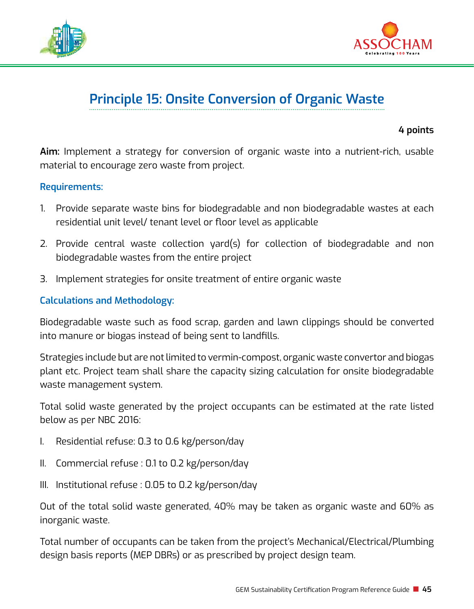



## **Principle 15: Onsite Conversion of Organic Waste**

**4 points**

**Aim:** Implement a strategy for conversion of organic waste into a nutrient-rich, usable material to encourage zero waste from project.

#### **Requirements:**

- 1. Provide separate waste bins for biodegradable and non biodegradable wastes at each residential unit level/ tenant level or floor level as applicable
- 2. Provide central waste collection yard(s) for collection of biodegradable and non biodegradable wastes from the entire project
- 3. Implement strategies for onsite treatment of entire organic waste

### **Calculations and Methodology:**

Biodegradable waste such as food scrap, garden and lawn clippings should be converted into manure or biogas instead of being sent to landfills.

Strategies include but are not limited to vermin-compost, organic waste convertor and biogas plant etc. Project team shall share the capacity sizing calculation for onsite biodegradable waste management system.

Total solid waste generated by the project occupants can be estimated at the rate listed below as per NBC 2016:

- I. Residential refuse: 0.3 to 0.6 kg/person/day
- II. Commercial refuse : 0.1 to 0.2 kg/person/day
- III. Institutional refuse : 0.05 to 0.2 kg/person/day

Out of the total solid waste generated, 40% may be taken as organic waste and 60% as inorganic waste.

Total number of occupants can be taken from the project's Mechanical/Electrical/Plumbing design basis reports (MEP DBRs) or as prescribed by project design team.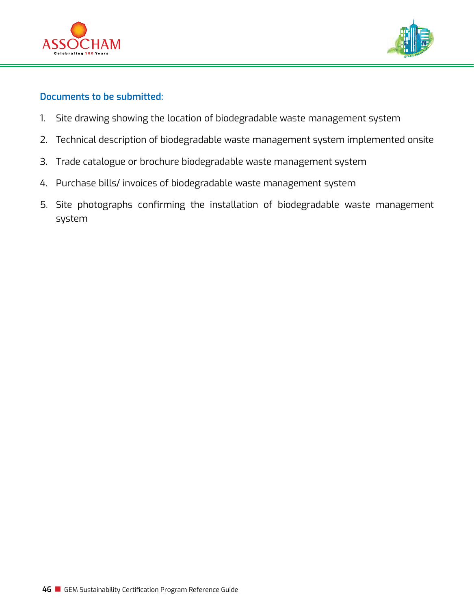



- 1. Site drawing showing the location of biodegradable waste management system
- 2. Technical description of biodegradable waste management system implemented onsite
- 3. Trade catalogue or brochure biodegradable waste management system
- 4. Purchase bills/ invoices of biodegradable waste management system
- 5. Site photographs confirming the installation of biodegradable waste management system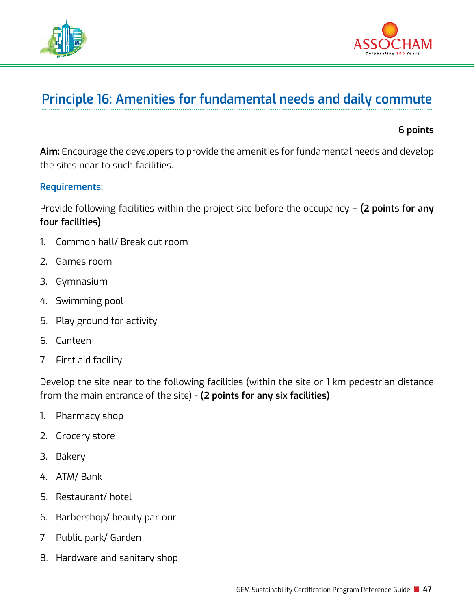



## **Principle 16: Amenities for fundamental needs and daily commute**

#### **6 points**

**Aim:** Encourage the developers to provide the amenities for fundamental needs and develop the sites near to such facilities.

#### **Requirements:**

Provide following facilities within the project site before the occupancy – **(2 points for any four facilities)** 

- 1. Common hall/ Break out room
- 2. Games room
- 3. Gymnasium
- 4. Swimming pool
- 5. Play ground for activity
- 6. Canteen
- 7. First aid facility

Develop the site near to the following facilities (within the site or 1 km pedestrian distance from the main entrance of the site) - **(2 points for any six facilities)** 

- 1. Pharmacy shop
- 2. Grocery store
- 3. Bakery
- 4. ATM/ Bank
- 5. Restaurant/ hotel
- 6. Barbershop/ beauty parlour
- 7. Public park/ Garden
- 8. Hardware and sanitary shop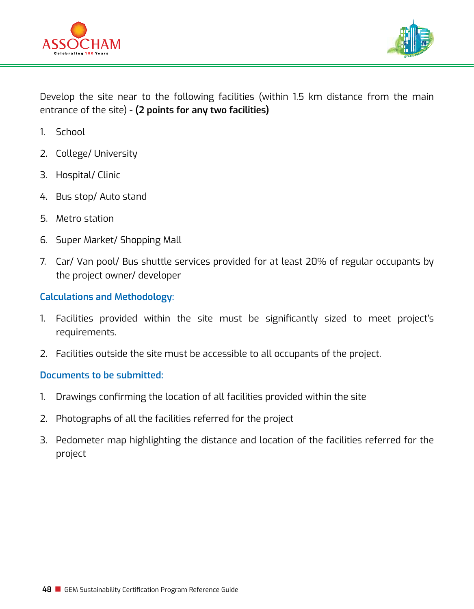



Develop the site near to the following facilities (within 1.5 km distance from the main entrance of the site) - **(2 points for any two facilities)** 

- 1. School
- 2. College/ University
- 3. Hospital/ Clinic
- 4. Bus stop/ Auto stand
- 5. Metro station
- 6. Super Market/ Shopping Mall
- 7. Car/ Van pool/ Bus shuttle services provided for at least 20% of regular occupants by the project owner/ developer

#### **Calculations and Methodology:**

- 1. Facilities provided within the site must be significantly sized to meet project's requirements.
- 2. Facilities outside the site must be accessible to all occupants of the project.

- 1. Drawings confirming the location of all facilities provided within the site
- 2. Photographs of all the facilities referred for the project
- 3. Pedometer map highlighting the distance and location of the facilities referred for the project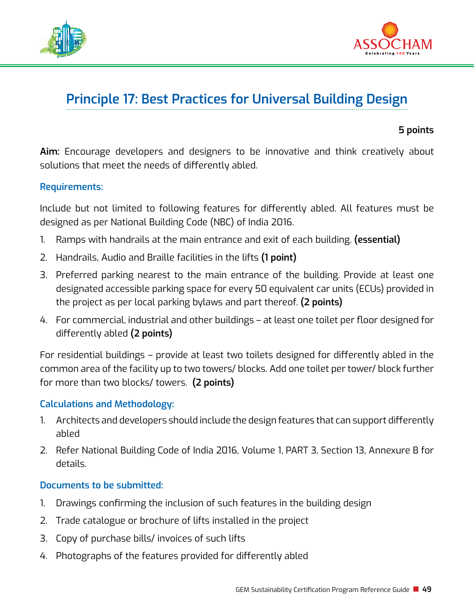



## **Principle 17: Best Practices for Universal Building Design**

#### **5 points**

**Aim:** Encourage developers and designers to be innovative and think creatively about solutions that meet the needs of differently abled.

#### **Requirements:**

Include but not limited to following features for differently abled. All features must be designed as per National Building Code (NBC) of India 2016.

- 1. Ramps with handrails at the main entrance and exit of each building. **(essential)**
- 2. Handrails, Audio and Braille facilities in the lifts **(1 point)**
- 3. Preferred parking nearest to the main entrance of the building. Provide at least one designated accessible parking space for every 50 equivalent car units (ECUs) provided in the project as per local parking bylaws and part thereof. **(2 points)**
- 4. For commercial, industrial and other buildings at least one toilet per floor designed for differently abled **(2 points)**

For residential buildings – provide at least two toilets designed for differently abled in the common area of the facility up to two towers/ blocks. Add one toilet per tower/ block further for more than two blocks/ towers. **(2 points)**

## **Calculations and Methodology:**

- 1. Architects and developers should include the design features that can support differently abled
- 2. Refer National Building Code of India 2016, Volume 1, PART 3, Section 13, Annexure B for details.

- 1. Drawings confirming the inclusion of such features in the building design
- 2. Trade catalogue or brochure of lifts installed in the project
- 3. Copy of purchase bills/ invoices of such lifts
- 4. Photographs of the features provided for differently abled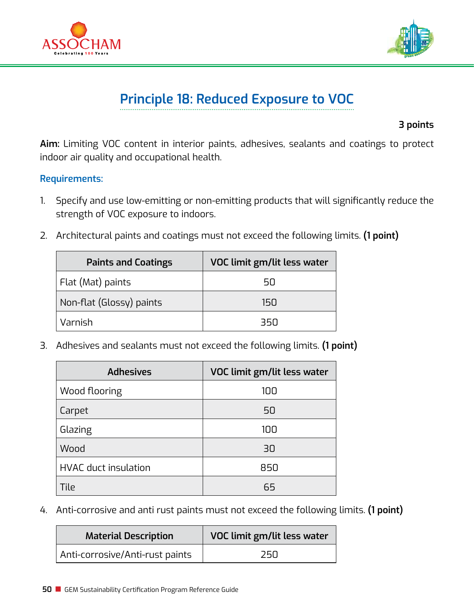



# **Principle 18: Reduced Exposure to VOC**

**3 points**

**Aim:** Limiting VOC content in interior paints, adhesives, sealants and coatings to protect indoor air quality and occupational health.

## **Requirements:**

- 1. Specify and use low-emitting or non-emitting products that will significantly reduce the strength of VOC exposure to indoors.
- 2. Architectural paints and coatings must not exceed the following limits. **(1 point)**

| <b>Paints and Coatings</b> | VOC limit gm/lit less water |
|----------------------------|-----------------------------|
| Flat (Mat) paints          | 5П                          |
| Non-flat (Glossy) paints   | 15N                         |
| Varnish                    | ารก                         |

3. Adhesives and sealants must not exceed the following limits. **(1 point)**

| <b>Adhesives</b>            | VOC limit gm/lit less water |
|-----------------------------|-----------------------------|
| Wood flooring               | 100                         |
| Carpet                      | 50                          |
| Glazing                     | 100                         |
| Wood                        | 30                          |
| <b>HVAC</b> duct insulation | 850                         |
| Tile                        | 65                          |

4. Anti-corrosive and anti rust paints must not exceed the following limits. **(1 point)**

| <b>Material Description</b>     | VOC limit gm/lit less water |
|---------------------------------|-----------------------------|
| Anti-corrosive/Anti-rust paints | 25N                         |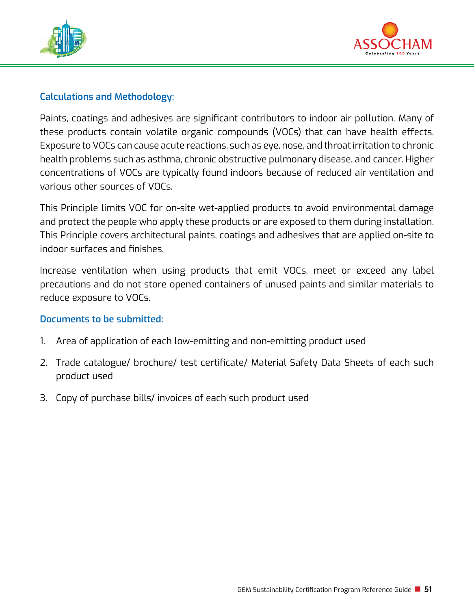



## **Calculations and Methodology:**

Paints, coatings and adhesives are significant contributors to indoor air pollution. Many of these products contain volatile organic compounds (VOCs) that can have health effects. Exposure to VOCs can cause acute reactions, such as eye, nose, and throat irritation to chronic health problems such as asthma, chronic obstructive pulmonary disease, and cancer. Higher concentrations of VOCs are typically found indoors because of reduced air ventilation and various other sources of VOCs.

This Principle limits VOC for on-site wet-applied products to avoid environmental damage and protect the people who apply these products or are exposed to them during installation. This Principle covers architectural paints, coatings and adhesives that are applied on-site to indoor surfaces and finishes.

Increase ventilation when using products that emit VOCs, meet or exceed any label precautions and do not store opened containers of unused paints and similar materials to reduce exposure to VOCs.

- 1. Area of application of each low-emitting and non-emitting product used
- 2. Trade catalogue/ brochure/ test certificate/ Material Safety Data Sheets of each such product used
- 3. Copy of purchase bills/ invoices of each such product used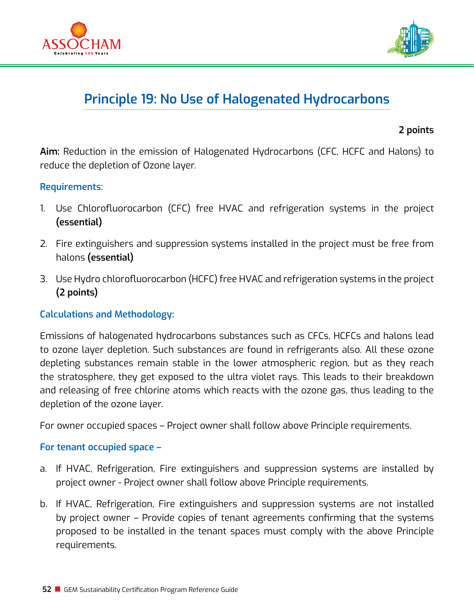



## **Principle 19: No Use of Halogenated Hydrocarbons**

#### **2 points**

**Aim:** Reduction in the emission of Halogenated Hydrocarbons (CFC, HCFC and Halons) to reduce the depletion of Ozone layer.

#### **Requirements:**

- 1. Use Chlorofluorocarbon (CFC) free HVAC and refrigeration systems in the project **(essential)**
- 2. Fire extinguishers and suppression systems installed in the project must be free from halons **(essential)**
- 3. Use Hydro chlorofluorocarbon (HCFC) free HVAC and refrigeration systems in the project **(2 points)**

## **Calculations and Methodology:**

Emissions of halogenated hydrocarbons substances such as CFCs, HCFCs and halons lead to ozone layer depletion. Such substances are found in refrigerants also. All these ozone depleting substances remain stable in the lower atmospheric region, but as they reach the stratosphere, they get exposed to the ultra violet rays. This leads to their breakdown and releasing of free chlorine atoms which reacts with the ozone gas, thus leading to the depletion of the ozone layer.

For owner occupied spaces – Project owner shall follow above Principle requirements.

#### **For tenant occupied space –**

- a. If HVAC, Refrigeration, Fire extinguishers and suppression systems are installed by project owner - Project owner shall follow above Principle requirements.
- b. If HVAC, Refrigeration, Fire extinguishers and suppression systems are not installed by project owner – Provide copies of tenant agreements confirming that the systems proposed to be installed in the tenant spaces must comply with the above Principle requirements.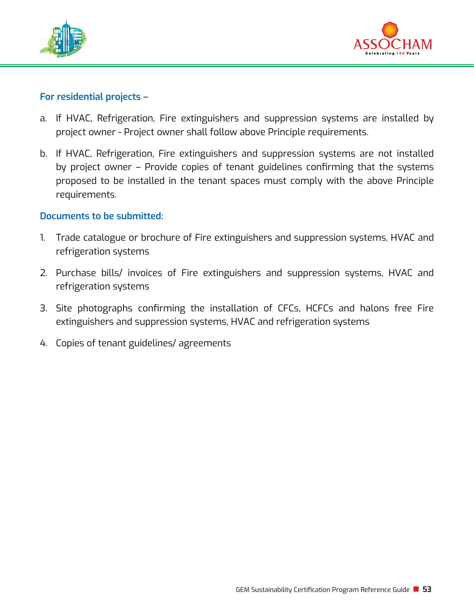



#### **For residential projects –**

- a. If HVAC, Refrigeration, Fire extinguishers and suppression systems are installed by project owner - Project owner shall follow above Principle requirements.
- b. If HVAC, Refrigeration, Fire extinguishers and suppression systems are not installed by project owner – Provide copies of tenant guidelines confirming that the systems proposed to be installed in the tenant spaces must comply with the above Principle requirements.

- 1. Trade catalogue or brochure of Fire extinguishers and suppression systems, HVAC and refrigeration systems
- 2. Purchase bills/ invoices of Fire extinguishers and suppression systems, HVAC and refrigeration systems
- 3. Site photographs confirming the installation of CFCs, HCFCs and halons free Fire extinguishers and suppression systems, HVAC and refrigeration systems
- 4. Copies of tenant guidelines/ agreements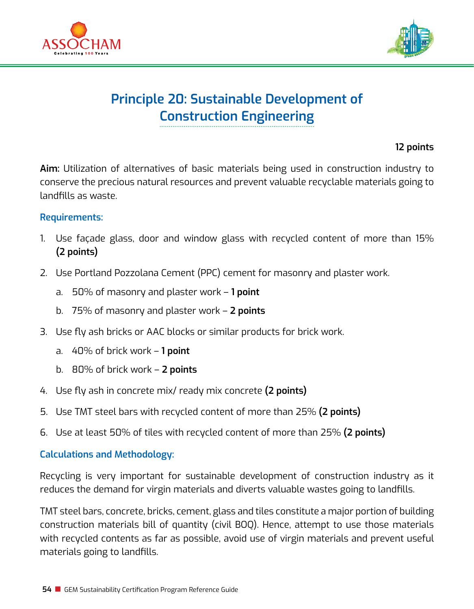



## **Principle 20: Sustainable Development of Construction Engineering**

## **12 points**

**Aim:** Utilization of alternatives of basic materials being used in construction industry to conserve the precious natural resources and prevent valuable recyclable materials going to landfills as waste.

#### **Requirements:**

- 1. Use façade glass, door and window glass with recycled content of more than 15% **(2 points)**
- 2. Use Portland Pozzolana Cement (PPC) cement for masonry and plaster work.
	- a. 50% of masonry and plaster work **1 point**
	- b. 75% of masonry and plaster work **2 points**
- 3. Use fly ash bricks or AAC blocks or similar products for brick work.
	- a. 40% of brick work **1 point**
	- b. 80% of brick work **2 points**
- 4. Use fly ash in concrete mix/ ready mix concrete **(2 points)**
- 5. Use TMT steel bars with recycled content of more than 25% **(2 points)**
- 6. Use at least 50% of tiles with recycled content of more than 25% **(2 points)**

## **Calculations and Methodology:**

Recycling is very important for sustainable development of construction industry as it reduces the demand for virgin materials and diverts valuable wastes going to landfills.

TMT steel bars, concrete, bricks, cement, glass and tiles constitute a major portion of building construction materials bill of quantity (civil BOQ). Hence, attempt to use those materials with recycled contents as far as possible, avoid use of virgin materials and prevent useful materials going to landfills.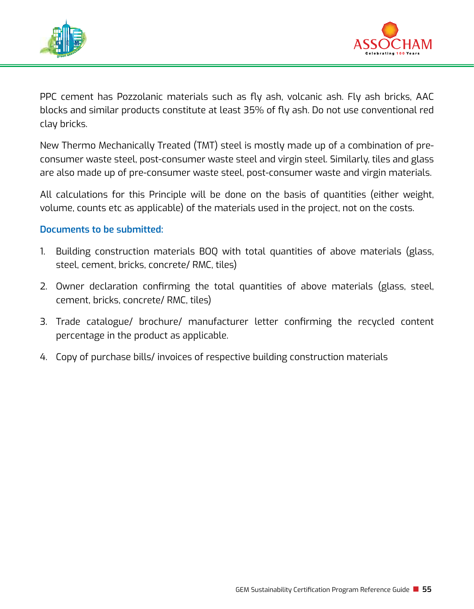



PPC cement has Pozzolanic materials such as fly ash, volcanic ash. Fly ash bricks, AAC blocks and similar products constitute at least 35% of fly ash. Do not use conventional red clay bricks.

New Thermo Mechanically Treated (TMT) steel is mostly made up of a combination of preconsumer waste steel, post-consumer waste steel and virgin steel. Similarly, tiles and glass are also made up of pre-consumer waste steel, post-consumer waste and virgin materials.

All calculations for this Principle will be done on the basis of quantities (either weight, volume, counts etc as applicable) of the materials used in the project, not on the costs.

- 1. Building construction materials BOQ with total quantities of above materials (glass, steel, cement, bricks, concrete/ RMC, tiles)
- 2. Owner declaration confirming the total quantities of above materials (glass, steel, cement, bricks, concrete/ RMC, tiles)
- 3. Trade catalogue/ brochure/ manufacturer letter confirming the recycled content percentage in the product as applicable.
- 4. Copy of purchase bills/ invoices of respective building construction materials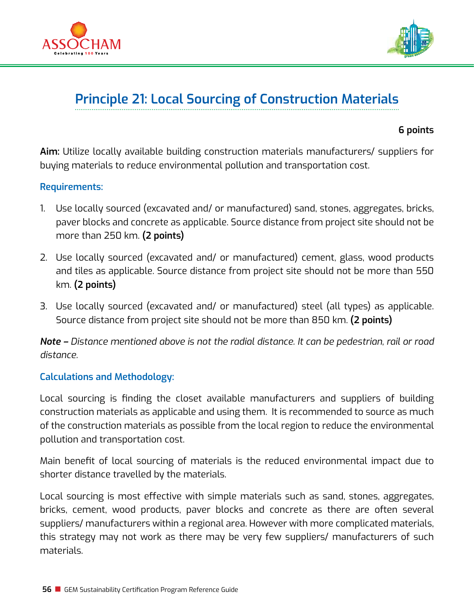



# **Principle 21: Local Sourcing of Construction Materials**

#### **6 points**

**Aim:** Utilize locally available building construction materials manufacturers/ suppliers for buying materials to reduce environmental pollution and transportation cost.

#### **Requirements:**

- 1. Use locally sourced (excavated and/ or manufactured) sand, stones, aggregates, bricks, paver blocks and concrete as applicable. Source distance from project site should not be more than 250 km. **(2 points)**
- 2. Use locally sourced (excavated and/ or manufactured) cement, glass, wood products and tiles as applicable. Source distance from project site should not be more than 550 km. **(2 points)**
- 3. Use locally sourced (excavated and/ or manufactured) steel (all types) as applicable. Source distance from project site should not be more than 850 km. **(2 points)**

*Note – Distance mentioned above is not the radial distance. It can be pedestrian, rail or road distance.*

## **Calculations and Methodology:**

Local sourcing is finding the closet available manufacturers and suppliers of building construction materials as applicable and using them. It is recommended to source as much of the construction materials as possible from the local region to reduce the environmental pollution and transportation cost.

Main benefit of local sourcing of materials is the reduced environmental impact due to shorter distance travelled by the materials.

Local sourcing is most effective with simple materials such as sand, stones, aggregates, bricks, cement, wood products, paver blocks and concrete as there are often several suppliers/ manufacturers within a regional area. However with more complicated materials, this strategy may not work as there may be very few suppliers/ manufacturers of such materials.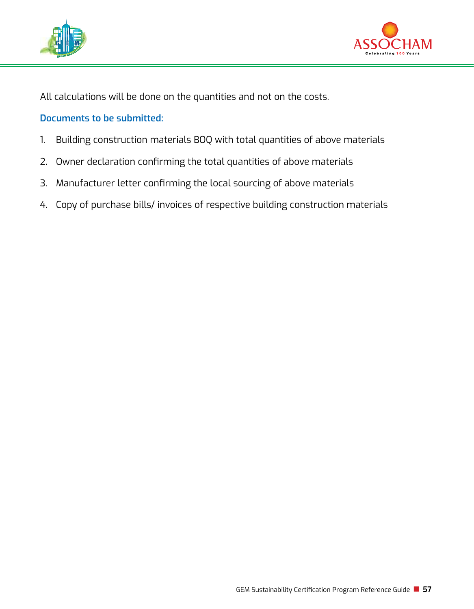



All calculations will be done on the quantities and not on the costs.

- 1. Building construction materials BOQ with total quantities of above materials
- 2. Owner declaration confirming the total quantities of above materials
- 3. Manufacturer letter confirming the local sourcing of above materials
- 4. Copy of purchase bills/ invoices of respective building construction materials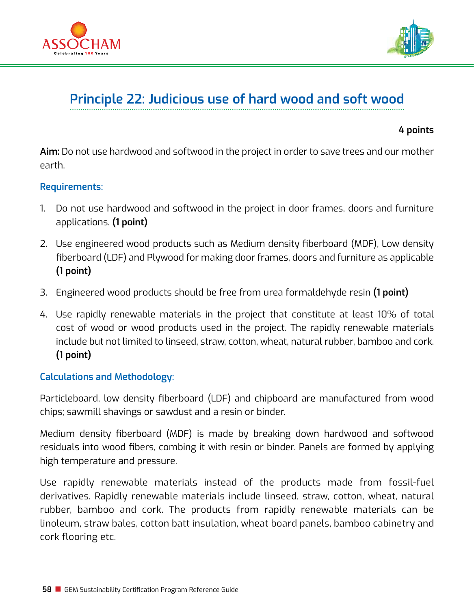



## **Principle 22: Judicious use of hard wood and soft wood**

#### **4 points**

**Aim:** Do not use hardwood and softwood in the project in order to save trees and our mother earth.

#### **Requirements:**

- 1. Do not use hardwood and softwood in the project in door frames, doors and furniture applications. **(1 point)**
- 2. Use engineered wood products such as Medium density fiberboard (MDF), Low density fiberboard (LDF) and Plywood for making door frames, doors and furniture as applicable **(1 point)**
- 3. Engineered wood products should be free from urea formaldehyde resin **(1 point)**
- 4. Use rapidly renewable materials in the project that constitute at least 10% of total cost of wood or wood products used in the project. The rapidly renewable materials include but not limited to linseed, straw, cotton, wheat, natural rubber, bamboo and cork. **(1 point)**

#### **Calculations and Methodology:**

Particleboard, low density fiberboard (LDF) and chipboard are manufactured from wood chips; sawmill shavings or sawdust and a resin or binder.

Medium density fiberboard (MDF) is made by breaking down hardwood and softwood residuals into wood fibers, combing it with resin or binder. Panels are formed by applying high temperature and pressure.

Use rapidly renewable materials instead of the products made from fossil-fuel derivatives. Rapidly renewable materials include linseed, straw, cotton, wheat, natural rubber, bamboo and cork. The products from rapidly renewable materials can be linoleum, straw bales, cotton batt insulation, wheat board panels, bamboo cabinetry and cork flooring etc.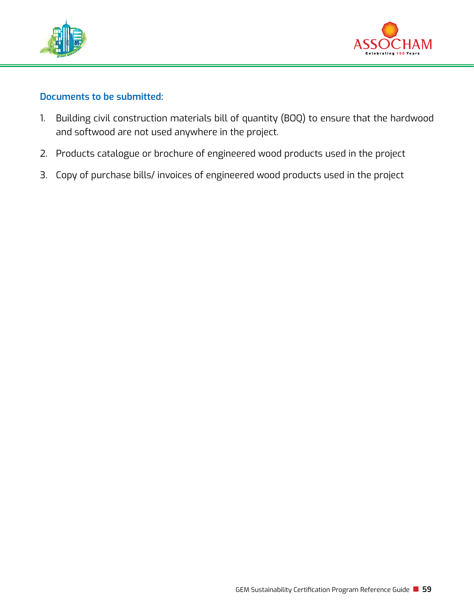



- 1. Building civil construction materials bill of quantity (BOQ) to ensure that the hardwood and softwood are not used anywhere in the project.
- 2. Products catalogue or brochure of engineered wood products used in the project
- 3. Copy of purchase bills/ invoices of engineered wood products used in the project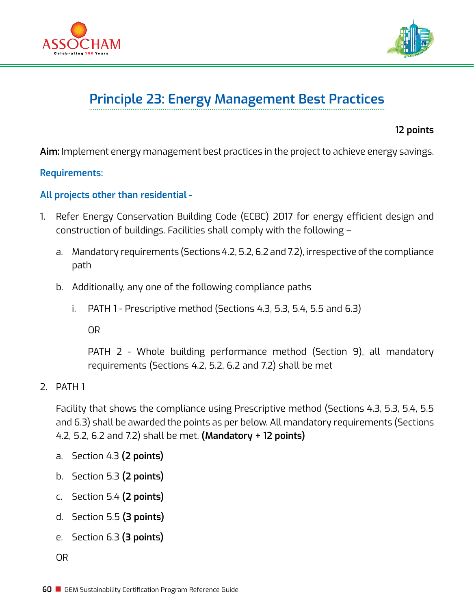



# **Principle 23: Energy Management Best Practices**

**12 points**

**Aim:** Implement energy management best practices in the project to achieve energy savings.

**Requirements:** 

**All projects other than residential -** 

- 1. Refer Energy Conservation Building Code (ECBC) 2017 for energy efficient design and construction of buildings. Facilities shall comply with the following –
	- a. Mandatory requirements (Sections 4.2, 5.2, 6.2 and 7.2), irrespective of the compliance path
	- b. Additionally, any one of the following compliance paths
		- i.  $PATH 1 Prescriptive method (Sections 4.3, 5.3, 5.4, 5.5 and 6.3)$

OR

PATH 2 - Whole building performance method (Section 9), all mandatory requirements (Sections 4.2, 5.2, 6.2 and 7.2) shall be met

2. PATH 1

Facility that shows the compliance using Prescriptive method (Sections 4.3, 5.3, 5.4, 5.5 and 6.3) shall be awarded the points as per below. All mandatory requirements (Sections 4.2, 5.2, 6.2 and 7.2) shall be met. **(Mandatory + 12 points)**

- a. Section 4.3 **(2 points)**
- b. Section 5.3 **(2 points)**
- c. Section 5.4 **(2 points)**
- d. Section 5.5 **(3 points)**
- e. Section 6.3 **(3 points)**

OR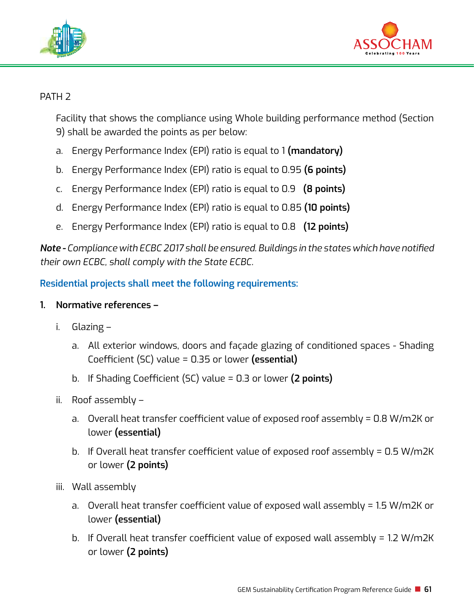



## PATH<sub>2</sub>

Facility that shows the compliance using Whole building performance method (Section 9) shall be awarded the points as per below:

- a. Energy Performance Index (EPI) ratio is equal to 1 **(mandatory)**
- b. Energy Performance Index (EPI) ratio is equal to 0.95 **(6 points)**
- c. Energy Performance Index (EPI) ratio is equal to 0.9 **(8 points)**
- d. Energy Performance Index (EPI) ratio is equal to 0.85 **(10 points)**
- e. Energy Performance Index (EPI) ratio is equal to 0.8 **(12 points)**

*Note - Compliance with ECBC 2017 shall be ensured. Buildings in the states which have notified their own ECBC, shall comply with the State ECBC.*

**Residential projects shall meet the following requirements:**

## **1. Normative references –**

- i. Glazing
	- a. All exterior windows, doors and façade glazing of conditioned spaces Shading Coefficient (SC) value = 0.35 or lower **(essential)**
	- b. If Shading Coefficient (SC) value = 0.3 or lower **(2 points)**
- ii. Roof assembly
	- a. Overall heat transfer coefficient value of exposed roof assembly = 0.8 W/m2K or lower **(essential)**
	- b. If Overall heat transfer coefficient value of exposed roof assembly =  $0.5$  W/m2K or lower **(2 points)**
- iii. Wall assembly
	- a. Overall heat transfer coefficient value of exposed wall assembly = 1.5 W/m2K or lower **(essential)**
	- b. If Overall heat transfer coefficient value of exposed wall assembly = 1.2 W/m2K or lower **(2 points)**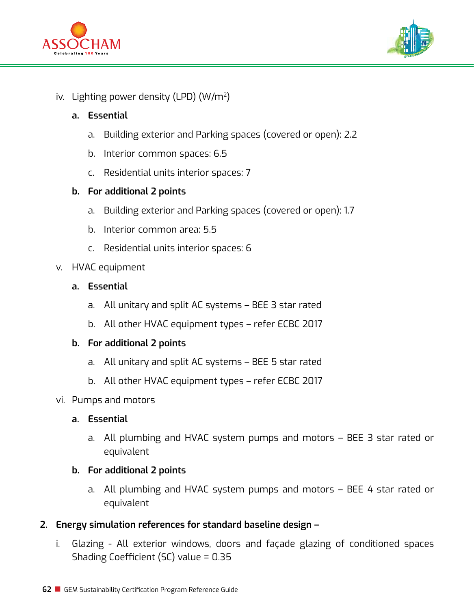



### iv. Lighting power density (LPD) (W/m2)

#### **a. Essential**

- a. Building exterior and Parking spaces (covered or open): 2.2
- b. Interior common spaces: 6.5
- c. Residential units interior spaces: 7

#### **b. For additional 2 points**

- a. Building exterior and Parking spaces (covered or open): 1.7
- b. Interior common area: 5.5
- c. Residential units interior spaces: 6
- v. HVAC equipment
	- **a. Essential**
		- a. All unitary and split AC systems BEE 3 star rated
		- b. All other HVAC equipment types refer ECBC 2017

#### **b. For additional 2 points**

- a. All unitary and split AC systems BEE 5 star rated
- b. All other HVAC equipment types refer ECBC 2017
- vi. Pumps and motors

#### **a. Essential**

a. All plumbing and HVAC system pumps and motors – BEE 3 star rated or equivalent

#### **b. For additional 2 points**

- a. All plumbing and HVAC system pumps and motors BEE 4 star rated or equivalent
- **2. Energy simulation references for standard baseline design** 
	- i. Glazing All exterior windows, doors and façade glazing of conditioned spaces Shading Coefficient (SC) value = 0.35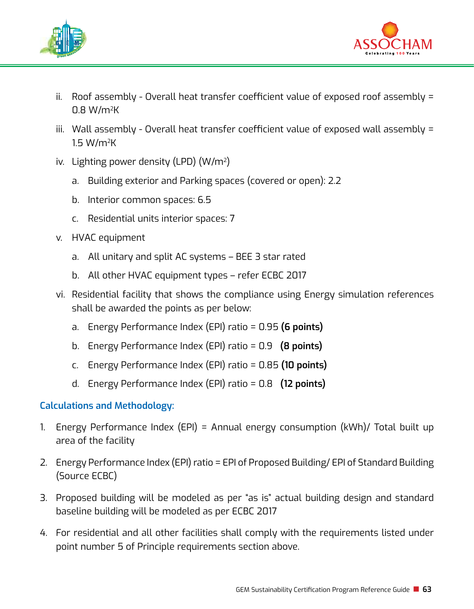



- ii. Roof assembly Overall heat transfer coefficient value of exposed roof assembly = 0.8 W/m2K
- iii. Wall assembly Overall heat transfer coefficient value of exposed wall assembly = 1.5 W/m2K
- iv. Lighting power density (LPD) (W/m2)
	- a. Building exterior and Parking spaces (covered or open): 2.2
	- b. Interior common spaces: 6.5
	- c. Residential units interior spaces: 7
- v. HVAC equipment
	- a. All unitary and split AC systems BEE 3 star rated
	- b. All other HVAC equipment types refer ECBC 2017
- vi. Residential facility that shows the compliance using Energy simulation references shall be awarded the points as per below:
	- a. Energy Performance Index (EPI) ratio = 0.95 **(6 points)**
	- b. Energy Performance Index (EPI) ratio = 0.9 **(8 points)**
	- c. Energy Performance Index (EPI) ratio = 0.85 **(10 points)**
	- d. Energy Performance Index (EPI) ratio = 0.8 **(12 points)**

## **Calculations and Methodology:**

- 1. Energy Performance Index (EPI) = Annual energy consumption (kWh)/ Total built up area of the facility
- 2. Energy Performance Index (EPI) ratio = EPI of Proposed Building/ EPI of Standard Building (Source ECBC)
- 3. Proposed building will be modeled as per "as is" actual building design and standard baseline building will be modeled as per ECBC 2017
- 4. For residential and all other facilities shall comply with the requirements listed under point number 5 of Principle requirements section above.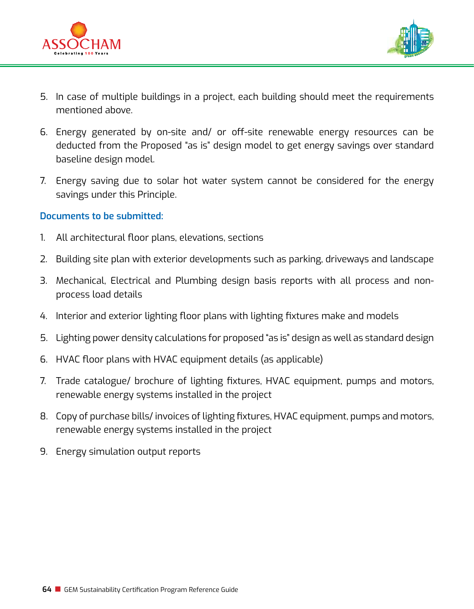



- 5. In case of multiple buildings in a project, each building should meet the requirements mentioned above.
- 6. Energy generated by on-site and/ or off-site renewable energy resources can be deducted from the Proposed "as is" design model to get energy savings over standard baseline design model.
- 7. Energy saving due to solar hot water system cannot be considered for the energy savings under this Principle.

- 1. All architectural floor plans, elevations, sections
- 2. Building site plan with exterior developments such as parking, driveways and landscape
- 3. Mechanical, Electrical and Plumbing design basis reports with all process and nonprocess load details
- 4. Interior and exterior lighting floor plans with lighting fixtures make and models
- 5. Lighting power density calculations for proposed "as is" design as well as standard design
- 6. HVAC floor plans with HVAC equipment details (as applicable)
- 7. Trade catalogue/ brochure of lighting fixtures, HVAC equipment, pumps and motors, renewable energy systems installed in the project
- 8. Copy of purchase bills/ invoices of lighting fixtures, HVAC equipment, pumps and motors, renewable energy systems installed in the project
- 9. Energy simulation output reports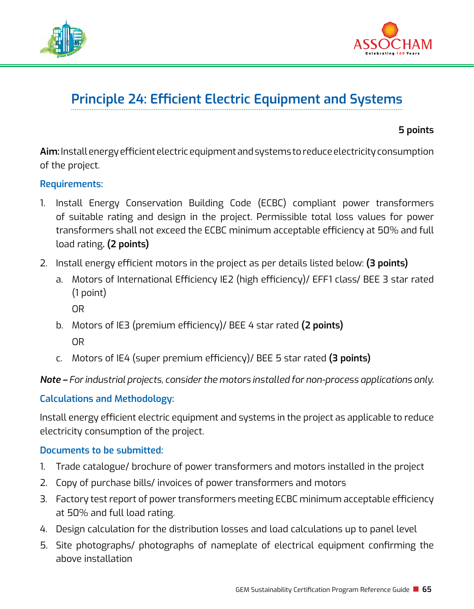



# **Principle 24: Efficient Electric Equipment and Systems**

**5 points**

**Aim:** Install energy efficient electric equipment and systems to reduce electricity consumption of the project.

#### **Requirements:**

- 1. Install Energy Conservation Building Code (ECBC) compliant power transformers of suitable rating and design in the project. Permissible total loss values for power transformers shall not exceed the ECBC minimum acceptable efficiency at 50% and full load rating**. (2 points)**
- 2. Install energy efficient motors in the project as per details listed below: **(3 points)**
	- a. Motors of International Efficiency IE2 (high efficiency)/ EFF1 class/ BEE 3 star rated (1 point)
		- OR
	- b. Motors of IE3 (premium efficiency)/ BEE 4 star rated **(2 points)**  OR
	- c. Motors of IE4 (super premium efficiency)/ BEE 5 star rated **(3 points)**

*Note – For industrial projects, consider the motors installed for non-process applications only.* 

## **Calculations and Methodology:**

Install energy efficient electric equipment and systems in the project as applicable to reduce electricity consumption of the project.

- 1. Trade catalogue/ brochure of power transformers and motors installed in the project
- 2. Copy of purchase bills/ invoices of power transformers and motors
- 3. Factory test report of power transformers meeting ECBC minimum acceptable efficiency at 50% and full load rating.
- 4. Design calculation for the distribution losses and load calculations up to panel level
- 5. Site photographs/ photographs of nameplate of electrical equipment confirming the above installation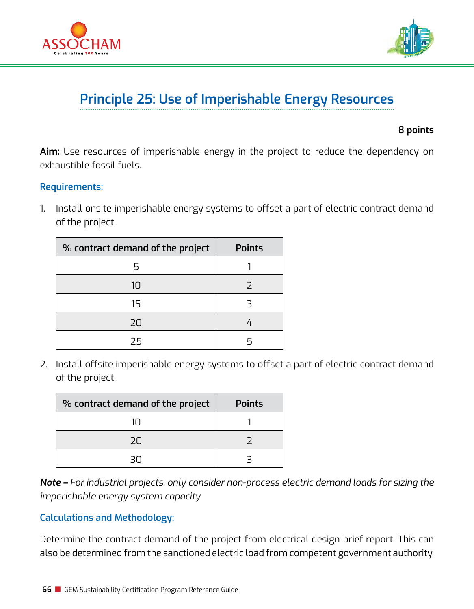



## **Principle 25: Use of Imperishable Energy Resources**

#### **8 points**

**Aim:** Use resources of imperishable energy in the project to reduce the dependency on exhaustible fossil fuels.

#### **Requirements:**

1. Install onsite imperishable energy systems to offset a part of electric contract demand of the project.

| % contract demand of the project | <b>Points</b> |
|----------------------------------|---------------|
| 5                                |               |
| 10                               |               |
| 15                               |               |
| 20                               |               |
| フら                               |               |

2. Install offsite imperishable energy systems to offset a part of electric contract demand of the project.

| % contract demand of the project | <b>Points</b> |
|----------------------------------|---------------|
| 1Π                               |               |
| 2U                               |               |
|                                  |               |

*Note – For industrial projects, only consider non-process electric demand loads for sizing the imperishable energy system capacity.*

## **Calculations and Methodology:**

Determine the contract demand of the project from electrical design brief report. This can also be determined from the sanctioned electric load from competent government authority.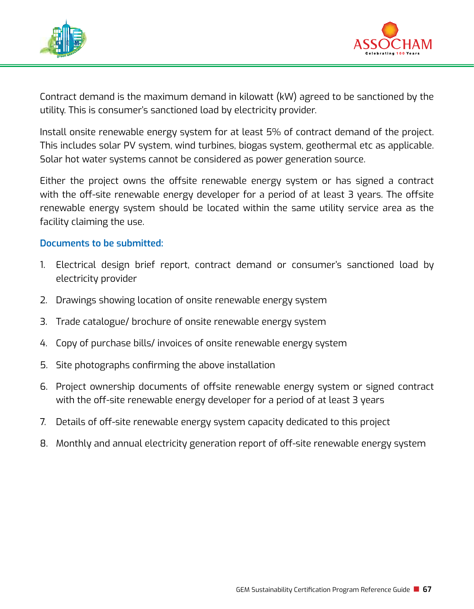



Contract demand is the maximum demand in kilowatt (kW) agreed to be sanctioned by the utility. This is consumer's sanctioned load by electricity provider.

Install onsite renewable energy system for at least 5% of contract demand of the project. This includes solar PV system, wind turbines, biogas system, geothermal etc as applicable. Solar hot water systems cannot be considered as power generation source.

Either the project owns the offsite renewable energy system or has signed a contract with the off-site renewable energy developer for a period of at least 3 years. The offsite renewable energy system should be located within the same utility service area as the facility claiming the use.

- 1. Electrical design brief report, contract demand or consumer's sanctioned load by electricity provider
- 2. Drawings showing location of onsite renewable energy system
- 3. Trade catalogue/ brochure of onsite renewable energy system
- 4. Copy of purchase bills/ invoices of onsite renewable energy system
- 5. Site photographs confirming the above installation
- 6. Project ownership documents of offsite renewable energy system or signed contract with the off-site renewable energy developer for a period of at least 3 years
- 7. Details of off-site renewable energy system capacity dedicated to this project
- 8. Monthly and annual electricity generation report of off-site renewable energy system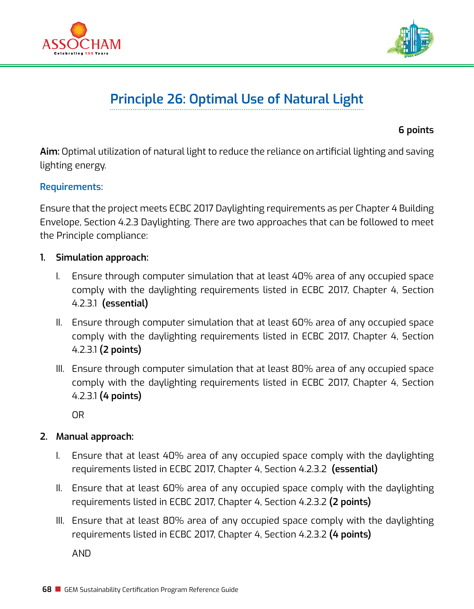



# **Principle 26: Optimal Use of Natural Light**

**6 points** 

**Aim:** Optimal utilization of natural light to reduce the reliance on artificial lighting and saving lighting energy.

#### **Requirements:**

Ensure that the project meets ECBC 2017 Daylighting requirements as per Chapter 4 Building Envelope, Section 4.2.3 Daylighting. There are two approaches that can be followed to meet the Principle compliance:

- **1. Simulation approach:**
	- I. Ensure through computer simulation that at least 40% area of any occupied space comply with the daylighting requirements listed in ECBC 2017, Chapter 4, Section 4.2.3.1 **(essential)**
	- II. Ensure through computer simulation that at least 60% area of any occupied space comply with the daylighting requirements listed in ECBC 2017, Chapter 4, Section 4.2.3.1 **(2 points)**
	- III. Ensure through computer simulation that at least 80% area of any occupied space comply with the daylighting requirements listed in ECBC 2017, Chapter 4, Section 4.2.3.1 **(4 points)**

OR

## **2. Manual approach:**

- I. Ensure that at least 40% area of any occupied space comply with the daylighting requirements listed in ECBC 2017, Chapter 4, Section 4.2.3.2 **(essential)**
- II. Ensure that at least 60% area of any occupied space comply with the daylighting requirements listed in ECBC 2017, Chapter 4, Section 4.2.3.2 **(2 points)**
- III. Ensure that at least 80% area of any occupied space comply with the daylighting requirements listed in ECBC 2017, Chapter 4, Section 4.2.3.2 **(4 points)**

AND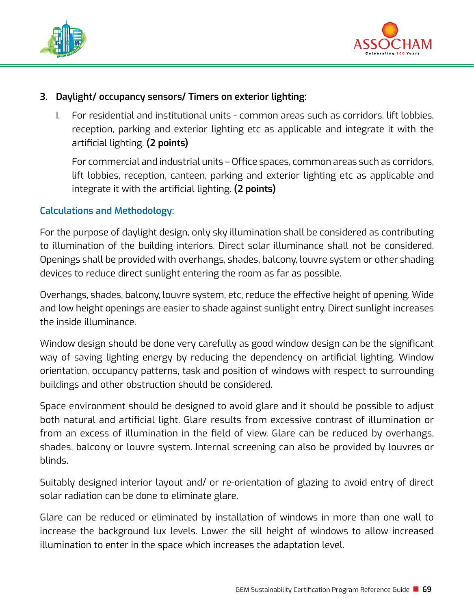



## **3. Daylight/ occupancy sensors/ Timers on exterior lighting:**

I. For residential and institutional units - common areas such as corridors, lift lobbies, reception, parking and exterior lighting etc as applicable and integrate it with the artificial lighting. **(2 points)**

For commercial and industrial units – Office spaces, common areas such as corridors, lift lobbies, reception, canteen, parking and exterior lighting etc as applicable and integrate it with the artificial lighting. **(2 points)**

## **Calculations and Methodology:**

For the purpose of daylight design, only sky illumination shall be considered as contributing to illumination of the building interiors. Direct solar illuminance shall not be considered. Openings shall be provided with overhangs, shades, balcony, louvre system or other shading devices to reduce direct sunlight entering the room as far as possible.

Overhangs, shades, balcony, louvre system, etc, reduce the effective height of opening. Wide and low height openings are easier to shade against sunlight entry. Direct sunlight increases the inside illuminance.

Window design should be done very carefully as good window design can be the significant way of saving lighting energy by reducing the dependency on artificial lighting. Window orientation, occupancy patterns, task and position of windows with respect to surrounding buildings and other obstruction should be considered.

Space environment should be designed to avoid glare and it should be possible to adjust both natural and artificial light. Glare results from excessive contrast of illumination or from an excess of illumination in the field of view. Glare can be reduced by overhangs, shades, balcony or louvre system. Internal screening can also be provided by louvres or blinds.

Suitably designed interior layout and/ or re-orientation of glazing to avoid entry of direct solar radiation can be done to eliminate glare.

Glare can be reduced or eliminated by installation of windows in more than one wall to increase the background lux levels. Lower the sill height of windows to allow increased illumination to enter in the space which increases the adaptation level.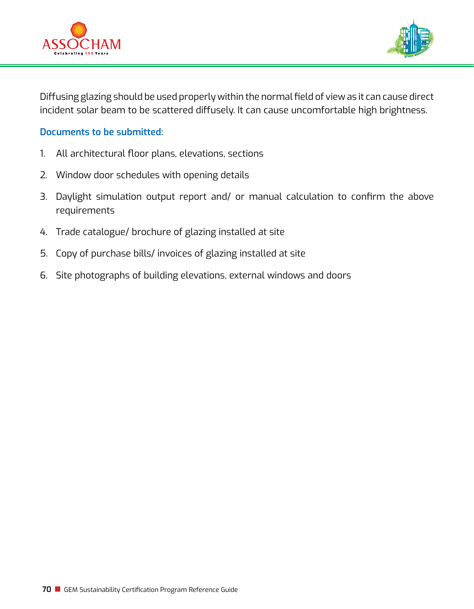



Diffusing glazing should be used properly within the normal field of view as it can cause direct incident solar beam to be scattered diffusely. It can cause uncomfortable high brightness.

- 1. All architectural floor plans, elevations, sections
- 2. Window door schedules with opening details
- 3. Daylight simulation output report and/ or manual calculation to confirm the above requirements
- 4. Trade catalogue/ brochure of glazing installed at site
- 5. Copy of purchase bills/ invoices of glazing installed at site
- 6. Site photographs of building elevations, external windows and doors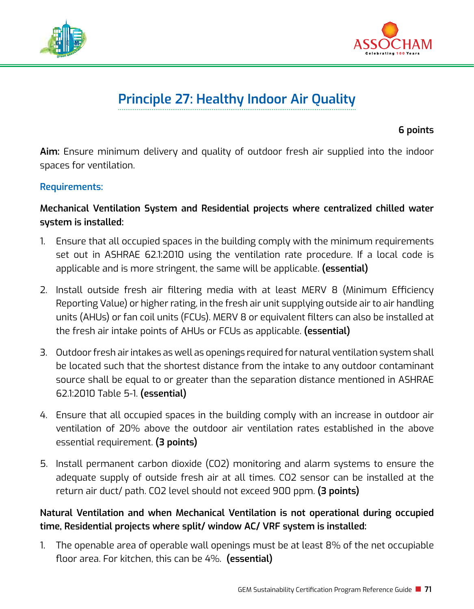



# **Principle 27: Healthy Indoor Air Quality**

**6 points**

**Aim:** Ensure minimum delivery and quality of outdoor fresh air supplied into the indoor spaces for ventilation.

## **Requirements:**

# **Mechanical Ventilation System and Residential projects where centralized chilled water system is installed:**

- 1. Ensure that all occupied spaces in the building comply with the minimum requirements set out in ASHRAE 62.1:2010 using the ventilation rate procedure. If a local code is applicable and is more stringent, the same will be applicable. **(essential)**
- 2. Install outside fresh air filtering media with at least MERV 8 (Minimum Efficiency Reporting Value) or higher rating, in the fresh air unit supplying outside air to air handling units (AHUs) or fan coil units (FCUs). MERV 8 or equivalent filters can also be installed at the fresh air intake points of AHUs or FCUs as applicable. **(essential)**
- 3. Outdoor fresh air intakes as well as openings required for natural ventilation system shall be located such that the shortest distance from the intake to any outdoor contaminant source shall be equal to or greater than the separation distance mentioned in ASHRAE 62.1:2010 Table 5-1. **(essential)**
- 4. Ensure that all occupied spaces in the building comply with an increase in outdoor air ventilation of 20% above the outdoor air ventilation rates established in the above essential requirement. **(3 points)**
- 5. Install permanent carbon dioxide (CO2) monitoring and alarm systems to ensure the adequate supply of outside fresh air at all times. CO2 sensor can be installed at the return air duct/ path. CO2 level should not exceed 900 ppm. **(3 points)**

# **Natural Ventilation and when Mechanical Ventilation is not operational during occupied time, Residential projects where split/ window AC/ VRF system is installed:**

1. The openable area of operable wall openings must be at least 8% of the net occupiable floor area. For kitchen, this can be 4%. **(essential)**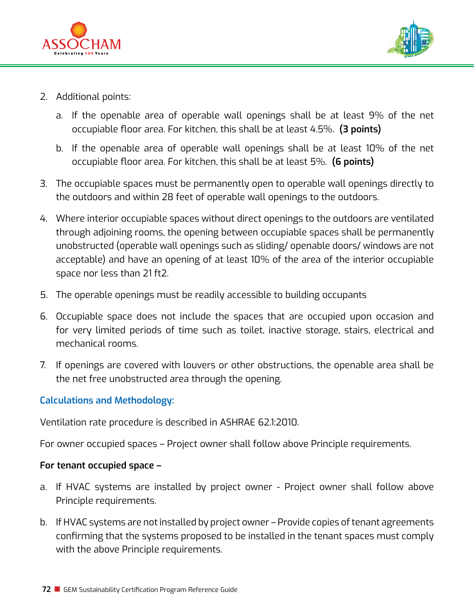



- 2. Additional points:
	- a. If the openable area of operable wall openings shall be at least 9% of the net occupiable floor area. For kitchen, this shall be at least 4.5%. **(3 points)**
	- b. If the openable area of operable wall openings shall be at least 10% of the net occupiable floor area. For kitchen, this shall be at least 5%. **(6 points)**
- 3. The occupiable spaces must be permanently open to operable wall openings directly to the outdoors and within 28 feet of operable wall openings to the outdoors.
- 4. Where interior occupiable spaces without direct openings to the outdoors are ventilated through adjoining rooms, the opening between occupiable spaces shall be permanently unobstructed (operable wall openings such as sliding/ openable doors/ windows are not acceptable) and have an opening of at least 10% of the area of the interior occupiable space nor less than 21 ft2.
- 5. The operable openings must be readily accessible to building occupants
- 6. Occupiable space does not include the spaces that are occupied upon occasion and for very limited periods of time such as toilet, inactive storage, stairs, electrical and mechanical rooms.
- 7. If openings are covered with louvers or other obstructions, the openable area shall be the net free unobstructed area through the opening.

# **Calculations and Methodology:**

Ventilation rate procedure is described in ASHRAE 62.1:2010.

For owner occupied spaces – Project owner shall follow above Principle requirements.

### **For tenant occupied space –**

- a. If HVAC systems are installed by project owner Project owner shall follow above Principle requirements.
- b. If HVAC systems are not installed by project owner Provide copies of tenant agreements confirming that the systems proposed to be installed in the tenant spaces must comply with the above Principle requirements.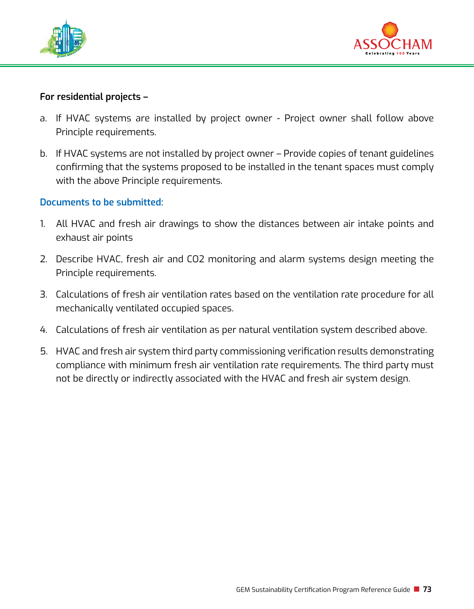



### **For residential projects –**

- a. If HVAC systems are installed by project owner Project owner shall follow above Principle requirements.
- b. If HVAC systems are not installed by project owner Provide copies of tenant guidelines confirming that the systems proposed to be installed in the tenant spaces must comply with the above Principle requirements.

### **Documents to be submitted:**

- 1. All HVAC and fresh air drawings to show the distances between air intake points and exhaust air points
- 2. Describe HVAC, fresh air and CO2 monitoring and alarm systems design meeting the Principle requirements.
- 3. Calculations of fresh air ventilation rates based on the ventilation rate procedure for all mechanically ventilated occupied spaces.
- 4. Calculations of fresh air ventilation as per natural ventilation system described above.
- 5. HVAC and fresh air system third party commissioning verification results demonstrating compliance with minimum fresh air ventilation rate requirements. The third party must not be directly or indirectly associated with the HVAC and fresh air system design.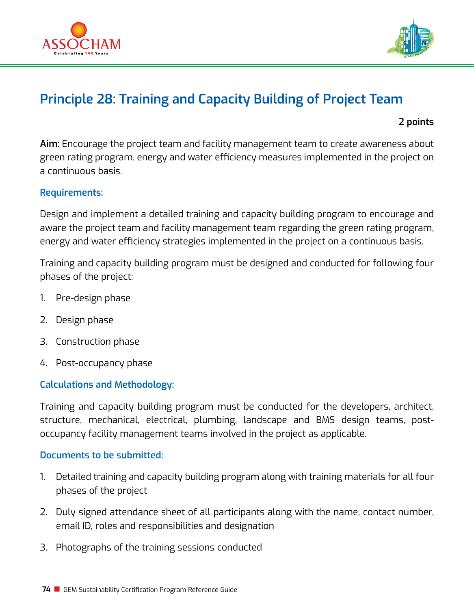



# **Principle 28: Training and Capacity Building of Project Team**

 **2 points**

**Aim:** Encourage the project team and facility management team to create awareness about green rating program, energy and water efficiency measures implemented in the project on a continuous basis.

## **Requirements:**

Design and implement a detailed training and capacity building program to encourage and aware the project team and facility management team regarding the green rating program, energy and water efficiency strategies implemented in the project on a continuous basis.

Training and capacity building program must be designed and conducted for following four phases of the project:

- 1. Pre-design phase
- 2. Design phase
- 3. Construction phase
- 4. Post-occupancy phase

# **Calculations and Methodology:**

Training and capacity building program must be conducted for the developers, architect, structure, mechanical, electrical, plumbing, landscape and BMS design teams, postoccupancy facility management teams involved in the project as applicable.

### **Documents to be submitted:**

- 1. Detailed training and capacity building program along with training materials for all four phases of the project
- 2. Duly signed attendance sheet of all participants along with the name, contact number, email ID, roles and responsibilities and designation
- 3. Photographs of the training sessions conducted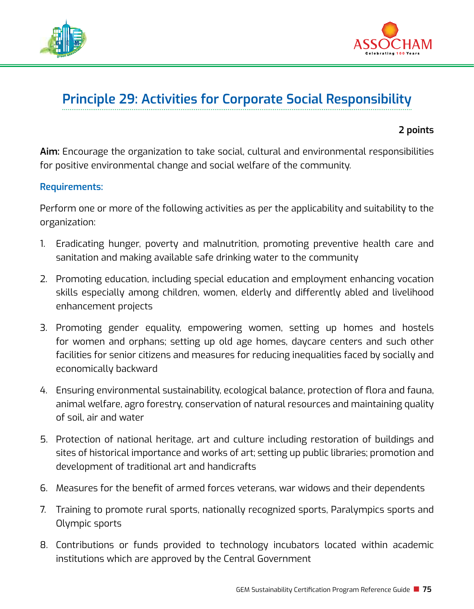



# **Principle 29: Activities for Corporate Social Responsibility**

### **2 points**

**Aim:** Encourage the organization to take social, cultural and environmental responsibilities for positive environmental change and social welfare of the community.

### **Requirements:**

Perform one or more of the following activities as per the applicability and suitability to the organization:

- 1. Eradicating hunger, poverty and malnutrition, promoting preventive health care and sanitation and making available safe drinking water to the community
- 2. Promoting education, including special education and employment enhancing vocation skills especially among children, women, elderly and differently abled and livelihood enhancement projects
- 3. Promoting gender equality, empowering women, setting up homes and hostels for women and orphans; setting up old age homes, daycare centers and such other facilities for senior citizens and measures for reducing inequalities faced by socially and economically backward
- 4. Ensuring environmental sustainability, ecological balance, protection of flora and fauna, animal welfare, agro forestry, conservation of natural resources and maintaining quality of soil, air and water
- 5. Protection of national heritage, art and culture including restoration of buildings and sites of historical importance and works of art; setting up public libraries; promotion and development of traditional art and handicrafts
- 6. Measures for the benefit of armed forces veterans, war widows and their dependents
- 7. Training to promote rural sports, nationally recognized sports, Paralympics sports and Olympic sports
- 8. Contributions or funds provided to technology incubators located within academic institutions which are approved by the Central Government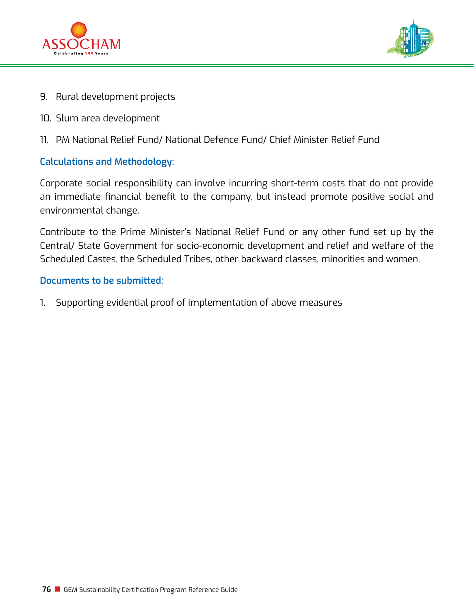



- 9. Rural development projects
- 10. Slum area development
- 11. PM National Relief Fund/ National Defence Fund/ Chief Minister Relief Fund

# **Calculations and Methodology:**

Corporate social responsibility can involve incurring short-term costs that do not provide an immediate financial benefit to the company, but instead promote positive social and environmental change.

Contribute to the Prime Minister's National Relief Fund or any other fund set up by the Central/ State Government for socio-economic development and relief and welfare of the Scheduled Castes, the Scheduled Tribes, other backward classes, minorities and women.

### **Documents to be submitted:**

1. Supporting evidential proof of implementation of above measures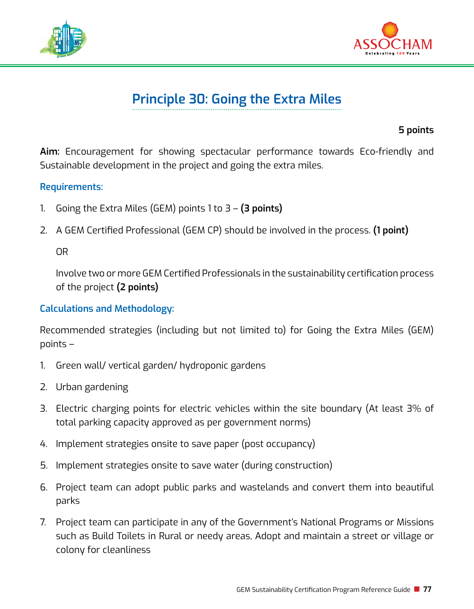



# **Principle 30: Going the Extra Miles**

**5 points**

**Aim:** Encouragement for showing spectacular performance towards Eco-friendly and Sustainable development in the project and going the extra miles.

## **Requirements:**

- 1. Going the Extra Miles (GEM) points 1 to 3 **(3 points)**
- 2. A GEM Certified Professional (GEM CP) should be involved in the process. **(1 point)**

OR

Involve two or more GEM Certified Professionals in the sustainability certification process of the project **(2 points)**

# **Calculations and Methodology:**

Recommended strategies (including but not limited to) for Going the Extra Miles (GEM) points –

- 1. Green wall/ vertical garden/ hydroponic gardens
- 2. Urban gardening
- 3. Electric charging points for electric vehicles within the site boundary (At least 3% of total parking capacity approved as per government norms)
- 4. Implement strategies onsite to save paper (post occupancy)
- 5. Implement strategies onsite to save water (during construction)
- 6. Project team can adopt public parks and wastelands and convert them into beautiful parks
- 7. Project team can participate in any of the Government's National Programs or Missions such as Build Toilets in Rural or needy areas, Adopt and maintain a street or village or colony for cleanliness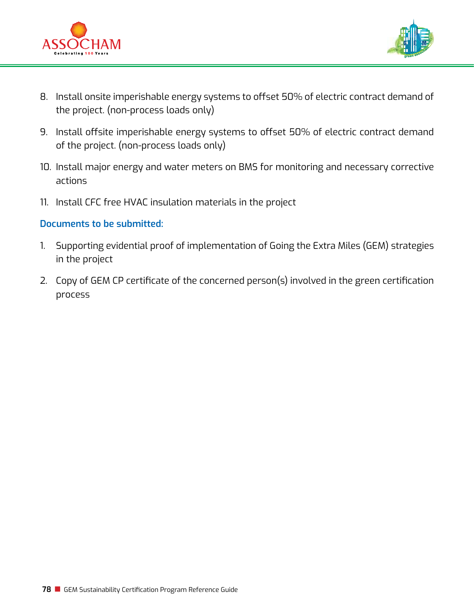



- 8. Install onsite imperishable energy systems to offset 50% of electric contract demand of the project. (non-process loads only)
- 9. Install offsite imperishable energy systems to offset 50% of electric contract demand of the project. (non-process loads only)
- 10. Install major energy and water meters on BMS for monitoring and necessary corrective actions
- 11. Install CFC free HVAC insulation materials in the project

## **Documents to be submitted:**

- 1. Supporting evidential proof of implementation of Going the Extra Miles (GEM) strategies in the project
- 2. Copy of GEM CP certificate of the concerned person(s) involved in the green certification process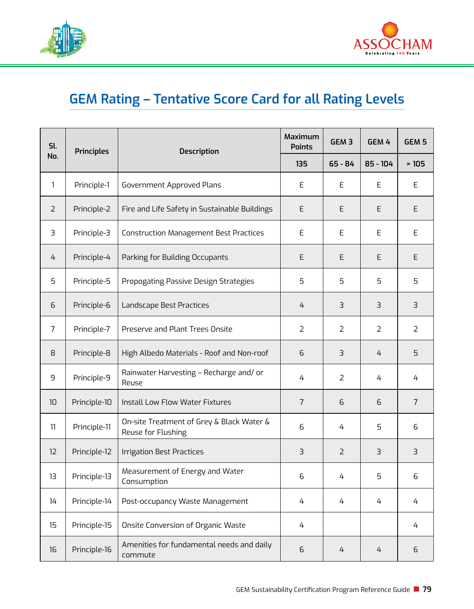



# **GEM Rating – Tentative Score Card for all Rating Levels**

| Sl.<br>No.        | <b>Principles</b> | <b>Description</b>                                              | <b>Maximum</b><br><b>Points</b> | GEM <sub>3</sub> | GEM 4          | GEM <sub>5</sub> |
|-------------------|-------------------|-----------------------------------------------------------------|---------------------------------|------------------|----------------|------------------|
|                   |                   |                                                                 | 135                             | $65 - 84$        | 85 - 104       | >105             |
| $\mathbf{1}$      | Principle-1       | Government Approved Plans                                       | E                               | E                | E              | E                |
| $\overline{2}$    | Principle-2       | Fire and Life Safety in Sustainable Buildings                   | E                               | E                | E              | E                |
| З                 | Principle-3       | Construction Management Best Practices                          | E                               | E                | E              | E                |
| 4                 | Principle-4       | Parking for Building Occupants                                  | E                               | E                | E              | E                |
| 5                 | Principle-5       | Propogating Passive Design Strategies                           | 5                               | 5                | 5              | 5                |
| 6                 | Principle-6       | Landscape Best Practices                                        | 4                               | 3                | $\exists$      | $\overline{3}$   |
| $\overline{7}$    | Principle-7       | Preserve and Plant Trees Onsite                                 | $\overline{2}$                  | $\overline{2}$   | $\overline{2}$ | $\overline{2}$   |
| 8                 | Principle-8       | High Albedo Materials - Roof and Non-roof                       | 6                               | 3                | 4              | 5                |
| 9                 | Principle-9       | Rainwater Harvesting - Recharge and/ or<br>Reuse                | 4                               | $\overline{2}$   | 4              | 4                |
| 10 <sup>1</sup>   | Principle-10      | <b>Install Low Flow Water Fixtures</b>                          | $\overline{7}$                  | 6                | 6              | $\overline{7}$   |
| 11                | Principle-11      | On-site Treatment of Grey & Black Water &<br>Reuse for Flushing | 6                               | 4                | 5              | 6                |
| $12 \overline{ }$ | Principle-12      | Irrigation Best Practices                                       | 3                               | $\overline{2}$   | $\exists$      | 3                |
| 13                | Principle-13      | Measurement of Energy and Water<br>Consumption                  | 6                               | 4                | 5              | 6                |
| 14                | Principle-14      | Post-occupancy Waste Management                                 | 4                               | 4                | 4              | 4                |
| 15                | Principle-15      | Onsite Conversion of Organic Waste                              | 4                               |                  |                | 4                |
| 16                | Principle-16      | Amenities for fundamental needs and daily<br>commute            | 6                               | 4                | 4              | 6                |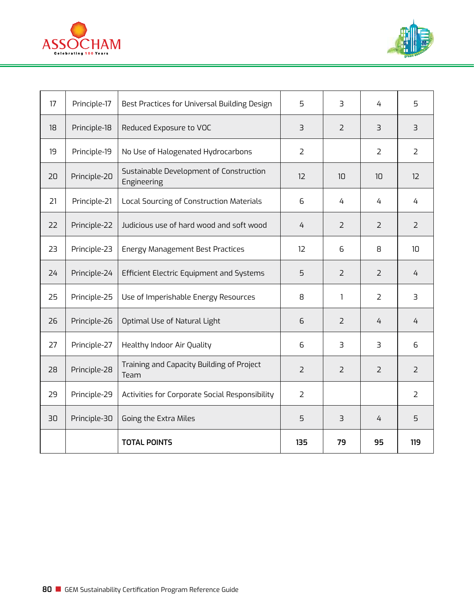



| 17 | Principle-17 | Best Practices for Universal Building Design           | 5              | 3              | 4              | 5                       |
|----|--------------|--------------------------------------------------------|----------------|----------------|----------------|-------------------------|
| 18 | Principle-18 | Reduced Exposure to VOC                                | 3              | $\overline{2}$ | $\exists$      | $\overline{\mathbf{3}}$ |
| 19 | Principle-19 | No Use of Halogenated Hydrocarbons                     | $\overline{2}$ |                | 2              | $\overline{2}$          |
| 20 | Principle-20 | Sustainable Development of Construction<br>Engineering | 12             | 10             | 10             | 12                      |
| 21 | Principle-21 | Local Sourcing of Construction Materials               | 6              | 4              | 4              | 4                       |
| 22 | Principle-22 | Judicious use of hard wood and soft wood               | 4              | $\overline{2}$ | $\mathcal{L}$  | $\overline{2}$          |
| 23 | Principle-23 | <b>Energy Management Best Practices</b>                | 12             | 6              | 8              | 10                      |
| 24 | Principle-24 | Efficient Electric Equipment and Systems               | 5              | 2              | 2              | 4                       |
| 25 | Principle-25 | Use of Imperishable Energy Resources                   | 8              | 1              | 2              | 3                       |
| 26 | Principle-26 | Optimal Use of Natural Light                           | 6              | $\overline{2}$ | 4              | 4                       |
| 27 | Principle-27 | Healthy Indoor Air Quality                             | 6              | 3              | 3              | 6                       |
| 28 | Principle-28 | Training and Capacity Building of Project<br>Team      | $\overline{2}$ | $\overline{2}$ | $\overline{2}$ | $\overline{2}$          |
| 29 | Principle-29 | Activities for Corporate Social Responsibility         | $\overline{2}$ |                |                | $\overline{2}$          |
| 30 | Principle-30 | Going the Extra Miles                                  | 5              | 3              | 4              | 5                       |
|    |              | <b>TOTAL POINTS</b>                                    | 135            | 79             | 95             | 119                     |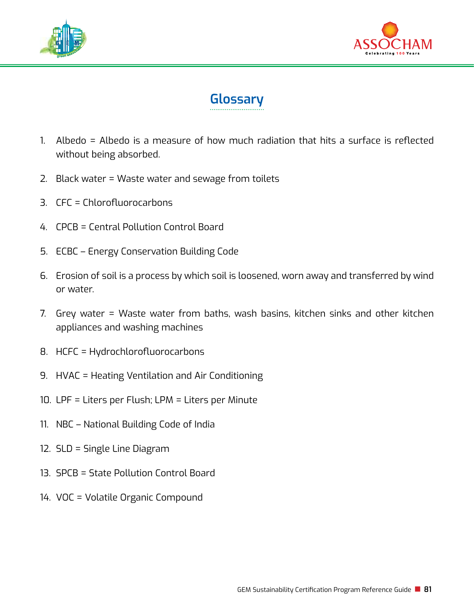





- 1. Albedo = Albedo is a measure of how much radiation that hits a surface is reflected without being absorbed.
- 2. Black water = Waste water and sewage from toilets
- 3. CFC = Chlorofluorocarbons
- 4. CPCB = Central Pollution Control Board
- 5. ECBC Energy Conservation Building Code
- 6. Erosion of soil is a process by which soil is loosened, worn away and transferred by wind or water.
- 7. Grey water = Waste water from baths, wash basins, kitchen sinks and other kitchen appliances and washing machines
- 8. HCFC = Hydrochlorofluorocarbons
- 9. HVAC = Heating Ventilation and Air Conditioning
- 10. LPF = Liters per Flush; LPM = Liters per Minute
- 11. NBC National Building Code of India
- 12. SLD = Single Line Diagram
- 13. SPCB = State Pollution Control Board
- 14. VOC = Volatile Organic Compound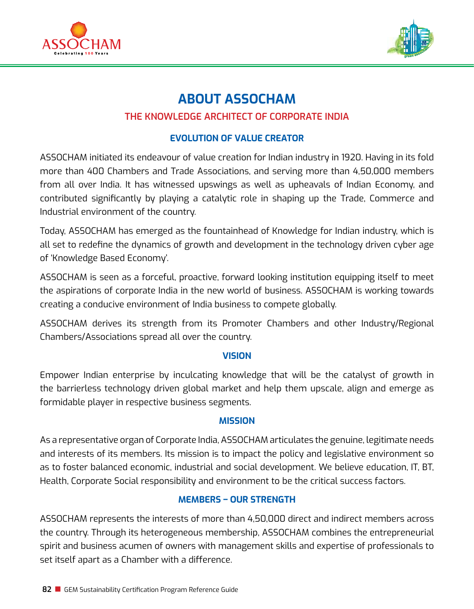



# **About ASSOCHAM**

# **The Knowledge Architect of Corporate India**

# **Evolution of Value Creator**

ASSOCHAM initiated its endeavour of value creation for Indian industry in 1920. Having in its fold more than 400 Chambers and Trade Associations, and serving more than 4,50,000 members from all over India. It has witnessed upswings as well as upheavals of Indian Economy, and contributed significantly by playing a catalytic role in shaping up the Trade, Commerce and Industrial environment of the country.

Today, ASSOCHAM has emerged as the fountainhead of Knowledge for Indian industry, which is all set to redefine the dynamics of growth and development in the technology driven cyber age of 'Knowledge Based Economy'.

ASSOCHAM is seen as a forceful, proactive, forward looking institution equipping itself to meet the aspirations of corporate India in the new world of business. ASSOCHAM is working towards creating a conducive environment of India business to compete globally.

ASSOCHAM derives its strength from its Promoter Chambers and other Industry/Regional Chambers/Associations spread all over the country.

### **Vision**

Empower Indian enterprise by inculcating knowledge that will be the catalyst of growth in the barrierless technology driven global market and help them upscale, align and emerge as formidable player in respective business segments.

### **Mission**

As a representative organ of Corporate India, ASSOCHAM articulates the genuine, legitimate needs and interests of its members. Its mission is to impact the policy and legislative environment so as to foster balanced economic, industrial and social development. We believe education, IT, BT, Health, Corporate Social responsibility and environment to be the critical success factors.

# **Members – Our Strength**

ASSOCHAM represents the interests of more than 4,50,000 direct and indirect members across the country. Through its heterogeneous membership, ASSOCHAM combines the entrepreneurial spirit and business acumen of owners with management skills and expertise of professionals to set itself apart as a Chamber with a difference.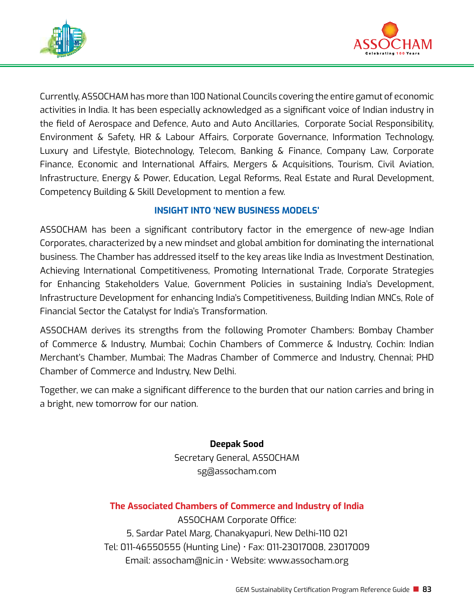



Currently, ASSOCHAM has more than 100 National Councils covering the entire gamut of economic activities in India. It has been especially acknowledged as a significant voice of Indian industry in the field of Aerospace and Defence, Auto and Auto Ancillaries, Corporate Social Responsibility, Environment & Safety, HR & Labour Affairs, Corporate Governance, Information Technology, Luxury and Lifestyle, Biotechnology, Telecom, Banking & Finance, Company Law, Corporate Finance, Economic and International Affairs, Mergers & Acquisitions, Tourism, Civil Aviation, Infrastructure, Energy & Power, Education, Legal Reforms, Real Estate and Rural Development, Competency Building & Skill Development to mention a few.

# **Insight into 'New Business Models'**

ASSOCHAM has been a significant contributory factor in the emergence of new-age Indian Corporates, characterized by a new mindset and global ambition for dominating the international business. The Chamber has addressed itself to the key areas like India as Investment Destination, Achieving International Competitiveness, Promoting International Trade, Corporate Strategies for Enhancing Stakeholders Value, Government Policies in sustaining India's Development, Infrastructure Development for enhancing India's Competitiveness, Building Indian MNCs, Role of Financial Sector the Catalyst for India's Transformation.

ASSOCHAM derives its strengths from the following Promoter Chambers: Bombay Chamber of Commerce & Industry, Mumbai; Cochin Chambers of Commerce & Industry, Cochin: Indian Merchant's Chamber, Mumbai; The Madras Chamber of Commerce and Industry, Chennai; PHD Chamber of Commerce and Industry, New Delhi.

Together, we can make a significant difference to the burden that our nation carries and bring in a bright, new tomorrow for our nation.

> **Deepak Sood** Secretary General, ASSOCHAM sg@assocham.com

# **The Associated Chambers of Commerce and Industry of India**

ASSOCHAM Corporate Office: 5, Sardar Patel Marg, Chanakyapuri, New Delhi-110 021 Tel: 011-46550555 (Hunting Line) • Fax: 011-23017008, 23017009 Email: assocham@nic.in • Website: www.assocham.org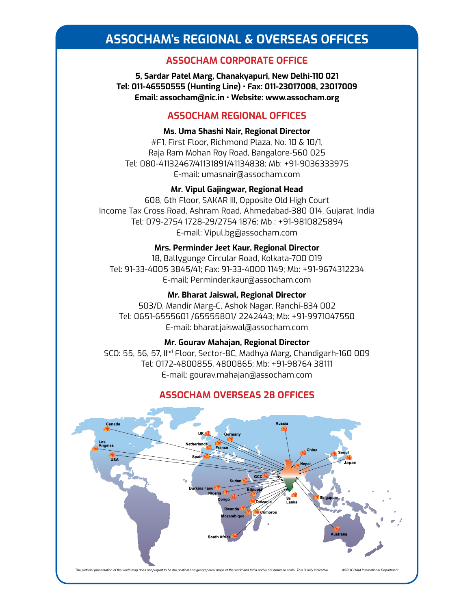# **Assocham's Regional & Overseas Offices**

### **ASSOCHAM CORPORATE OFFICE**

**5, Sardar Patel Marg, Chanakyapuri, New Delhi-110 021 Tel: 011-46550555 (Hunting Line) • Fax: 011-23017008, 23017009 Email: assocham@nic.in • Website: www.assocham.org** 

### **ASSOCHAM REGIONAL OFFICES**

### **Ms. Uma Shashi Nair, Regional Director**

#F1, First Floor, Richmond Plaza, No. 10 & 10/1, Raja Ram Mohan Roy Road, Bangalore-560 025 Tel: 080-41132467/41131891/41134838; Mb: +91-9036333975 E-mail: umasnair@assocham.com

### **Mr. Vipul Gajingwar, Regional Head**

608, 6th Floor, SAKAR III, Opposite Old High Court Income Tax Cross Road, Ashram Road, Ahmedabad-380 014, Gujarat, India Tel: 079-2754 1728-29/2754 1876; Mb : +91-9810825894 E-mail: Vipul.bg@assocham.com

### **Mrs. Perminder Jeet Kaur, Regional Director**

18, Ballygunge Circular Road, Kolkata-700 019 Tel: 91-33-4005 3845/41; Fax: 91-33-4000 1149; Mb: +91-9674312234 E-mail: Perminder.kaur@assocham.com

#### **Mr. Bharat Jaiswal, Regional Director**

503/D, Mandir Marg-C, Ashok Nagar, Ranchi-834 002 Tel: 0651-6555601 /65555801/ 2242443; Mb: +91-9971047550 E-mail: bharat.jaiswal@assocham.com

### **Mr. Gourav Mahajan, Regional Director**

SCO: 55, 56, 57, IInd Floor, Sector-8C, Madhya Marg, Chandigarh-160 009 Tel: 0172-4800855, 4800865; Mb: +91-98764 38111 E-mail: gourav.mahajan@assocham.com

### **ASSOCHAM OVERSEAS 28 OFFICES**